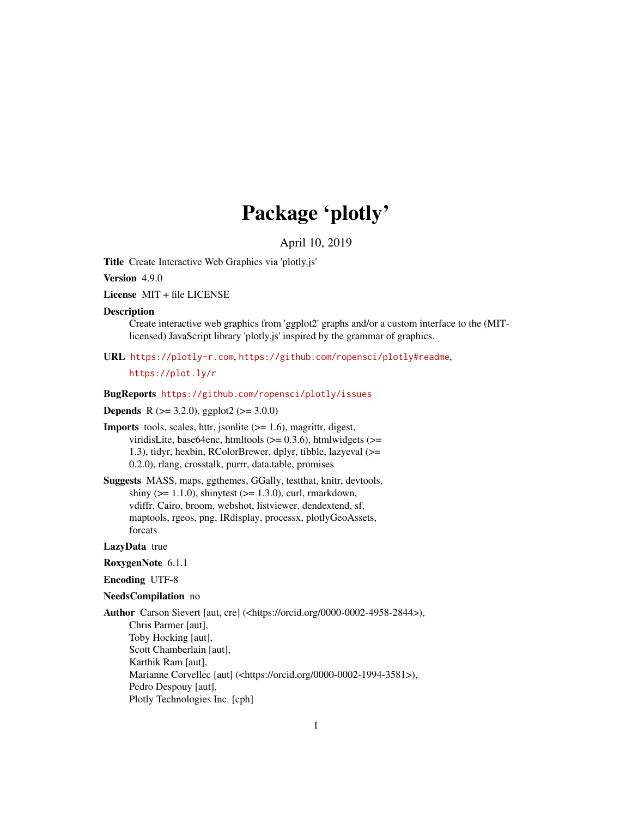# Package 'plotly'

April 10, 2019

<span id="page-0-0"></span>Title Create Interactive Web Graphics via 'plotly.js'

Version 4.9.0

License MIT + file LICENSE

#### **Description**

Create interactive web graphics from 'ggplot2' graphs and/or a custom interface to the (MITlicensed) JavaScript library 'plotly.js' inspired by the grammar of graphics.

URL <https://plotly-r.com>, <https://github.com/ropensci/plotly#readme>,

<https://plot.ly/r>

#### BugReports <https://github.com/ropensci/plotly/issues>

### **Depends** R ( $>= 3.2.0$ ), ggplot2 ( $>= 3.0.0$ )

**Imports** tools, scales, httr, jsonlite  $(>= 1.6)$ , magrittr, digest, viridisLite, base64enc, htmltools  $(>= 0.3.6)$ , htmlwidgets  $(>= 0.3.6)$ 1.3), tidyr, hexbin, RColorBrewer, dplyr, tibble, lazyeval (>= 0.2.0), rlang, crosstalk, purrr, data.table, promises

Suggests MASS, maps, ggthemes, GGally, testthat, knitr, devtools, shiny ( $>= 1.1.0$ ), shinytest ( $>= 1.3.0$ ), curl, rmarkdown, vdiffr, Cairo, broom, webshot, listviewer, dendextend, sf, maptools, rgeos, png, IRdisplay, processx, plotlyGeoAssets, forcats

#### LazyData true

#### RoxygenNote 6.1.1

#### Encoding UTF-8

### NeedsCompilation no

Author Carson Sievert [aut, cre] (<https://orcid.org/0000-0002-4958-2844>), Chris Parmer [aut], Toby Hocking [aut], Scott Chamberlain [aut], Karthik Ram [aut], Marianne Corvellec [aut] (<https://orcid.org/0000-0002-1994-3581>), Pedro Despouy [aut], Plotly Technologies Inc. [cph]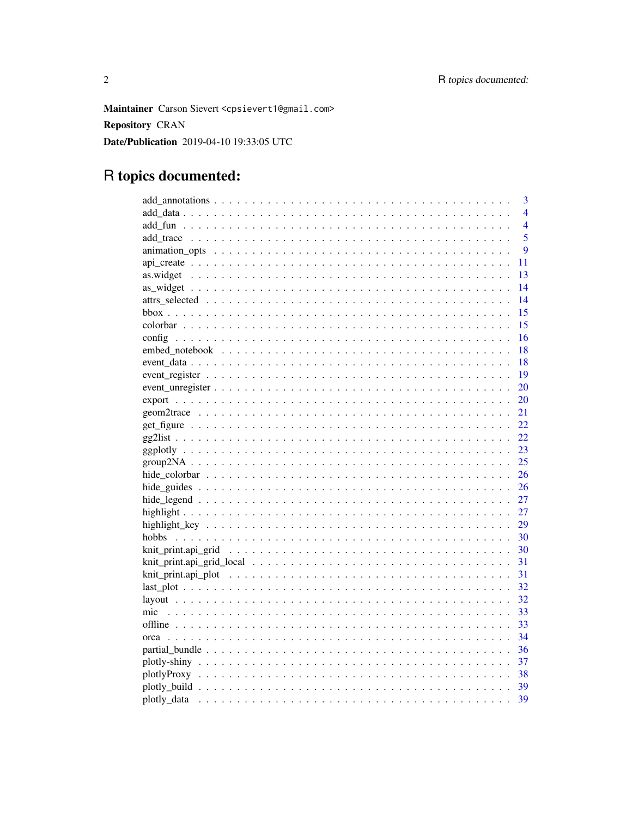Maintainer Carson Sievert <cpsievert1@gmail.com> **Repository CRAN** Date/Publication 2019-04-10 19:33:05 UTC

# R topics documented:

|      | 3                |
|------|------------------|
|      | $\overline{4}$   |
|      | $\overline{4}$   |
|      | 5                |
|      | $\boldsymbol{Q}$ |
|      | 11               |
|      | 13               |
|      | 14               |
|      | 14               |
|      | 15               |
|      | 15               |
|      | 16               |
|      | 18               |
|      | 18               |
|      | 19               |
|      | 20               |
|      | 20               |
|      | 21               |
|      | 22               |
|      | 22               |
|      | 23               |
|      | 25               |
|      | 26               |
|      | 26               |
|      | 27               |
|      | 27               |
|      | 29               |
|      | 30               |
|      | 30               |
|      | 31               |
|      | 31               |
|      | 32               |
|      | 32               |
| mic  | 33               |
|      | 33               |
| orca | 34               |
|      | 36               |
|      | 37               |
|      |                  |
|      | 39               |
|      | 39               |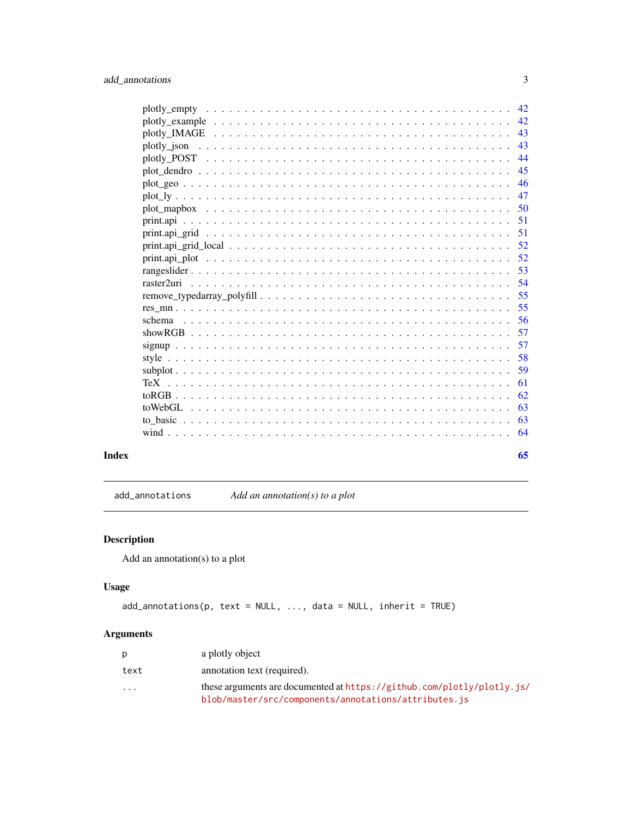<span id="page-2-0"></span>

|                                                                                                                           | 42 |
|---------------------------------------------------------------------------------------------------------------------------|----|
|                                                                                                                           | 42 |
|                                                                                                                           | 43 |
| plotly json                                                                                                               | 43 |
| plotly_POST $\dots \dots \dots \dots \dots \dots \dots \dots \dots \dots \dots \dots \dots \dots \dots \dots \dots \dots$ | 44 |
|                                                                                                                           | 45 |
|                                                                                                                           | 46 |
|                                                                                                                           | 47 |
|                                                                                                                           | 50 |
| 51                                                                                                                        |    |
| 51                                                                                                                        |    |
|                                                                                                                           | 52 |
|                                                                                                                           | 52 |
|                                                                                                                           | 53 |
|                                                                                                                           | 54 |
|                                                                                                                           | 55 |
|                                                                                                                           | 55 |
| schema                                                                                                                    | 56 |
|                                                                                                                           | 57 |
|                                                                                                                           | 57 |
|                                                                                                                           | 58 |
|                                                                                                                           | 59 |
| 61                                                                                                                        |    |
|                                                                                                                           | 62 |
|                                                                                                                           | 63 |
|                                                                                                                           | 63 |
|                                                                                                                           | 64 |
|                                                                                                                           |    |

#### **Index** [65](#page-64-0)

add\_annotations *Add an annotation(s) to a plot*

## Description

Add an annotation(s) to a plot

### Usage

```
add_annotations(p, text = NULL, ..., data = NULL, inherit = TRUE)
```

|                         | a plotly object                                                                                                                  |
|-------------------------|----------------------------------------------------------------------------------------------------------------------------------|
| text                    | annotation text (required).                                                                                                      |
| $\cdot$ $\cdot$ $\cdot$ | these arguments are documented at $https://github.com/plotly/plotly.is/$<br>blob/master/src/components/annotations/attributes.js |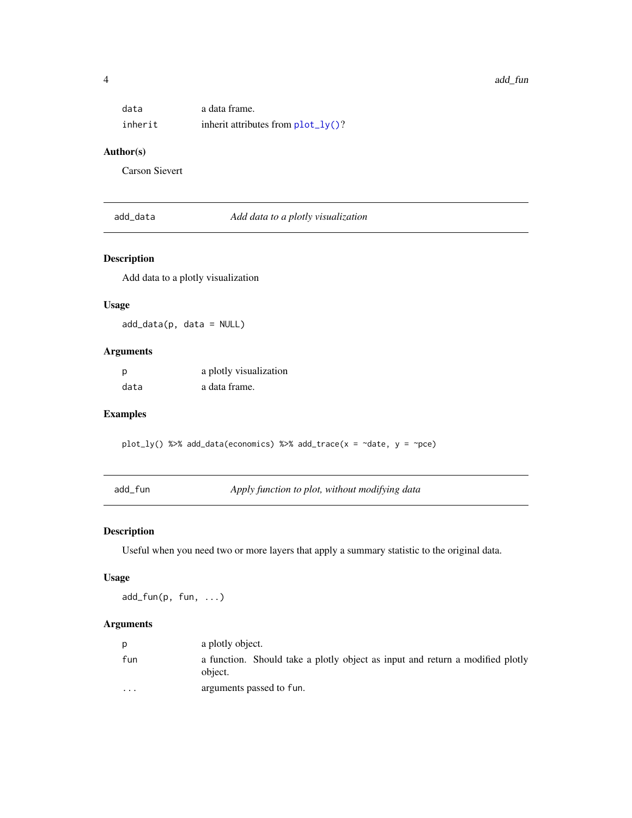<span id="page-3-0"></span>

| data    | a data frame.                         |
|---------|---------------------------------------|
| inherit | inherit attributes from $plot_l(y)$ ? |

#### Author(s)

Carson Sievert

add\_data *Add data to a plotly visualization*

#### Description

Add data to a plotly visualization

#### Usage

add\_data(p, data = NULL)

### Arguments

| p    | a plotly visualization |
|------|------------------------|
| data | a data frame.          |

### Examples

plot\_ly() %>% add\_data(economics) %>% add\_trace( $x = \text{ }$ date,  $y = \text{ }$ pce)

add\_fun *Apply function to plot, without modifying data*

### Description

Useful when you need two or more layers that apply a summary statistic to the original data.

#### Usage

add\_fun(p, fun, ...)

| p                       | a plotly object.                                                                         |
|-------------------------|------------------------------------------------------------------------------------------|
| fun                     | a function. Should take a plotly object as input and return a modified plotly<br>object. |
| $\cdot$ $\cdot$ $\cdot$ | arguments passed to fun.                                                                 |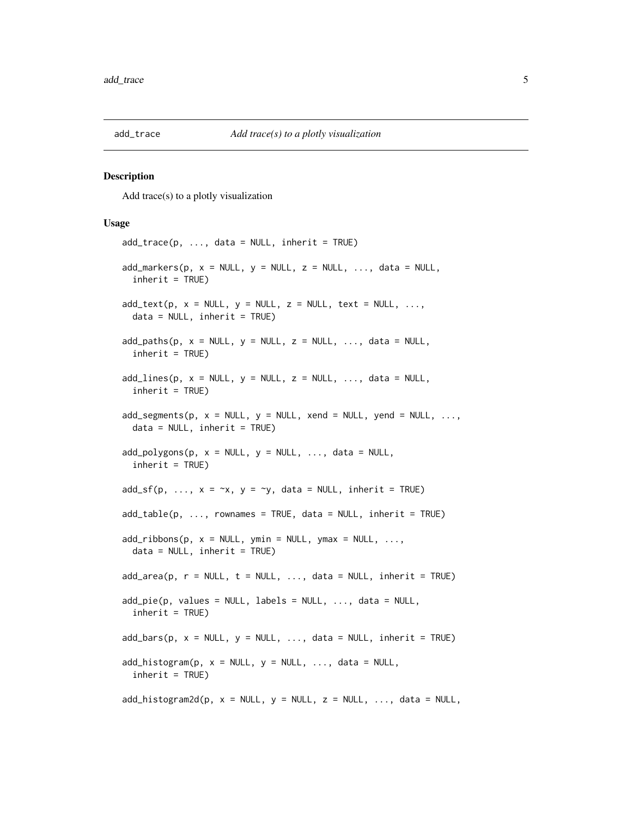<span id="page-4-2"></span><span id="page-4-1"></span><span id="page-4-0"></span>

Add trace(s) to a plotly visualization

#### Usage

```
add\_trace(p, ..., data = NULL, inherit = TRUE)add\_marks(p, x = NULL, y = NULL, z = NULL, ..., data = NULL,inherit = TRUE)
add\_text(p, x = NULL, y = NULL, z = NULL, text = NULL, ...data = NULL, inherit = TRUE)
add\_paths(p, x = NULL, y = NULL, z = NULL, ..., data = NULL,inherit = TRUE)
add\_lines(p, x = NULL, y = NULL, z = NULL, ..., data = NULL,inherit = TRUE)
add\_segments(p, x = NULL, y = NULL, xend = NULL, yend = NULL, yend = NULL, ...data = NULL, inherit = TRUE)
add\_polygons(p, x = NULL, y = NULL, ..., data = NULL,inherit = TRUE)
add_s f(p, ..., x = \gamma x, y = \gamma y, data = NULL, inherit = TRUE)add\_table(p, ..., rownames = TRUE, data = NULL, inherit = TRUE)add\_ribbons(p, x = NULL, ymin = NULL, ymax = NULL, ...data = NULL, inherit = TRUE)
add\_area(p, r = NULL, t = NULL, ..., data = NULL, inherit = TRUE)add\_pie(p, values = NULL, labels = NULL, ..., data = NULL,inherit = TRUE)
add\_bars(p, x = NULL, y = NULL, ..., data = NULL, inherit = TRUE)add\_histogram(p, x = NULL, y = NULL, ..., data = NULL,inherit = TRUE)
add\_histogram2d(p, x = NULL, y = NULL, z = NULL, ..., data = NULL,
```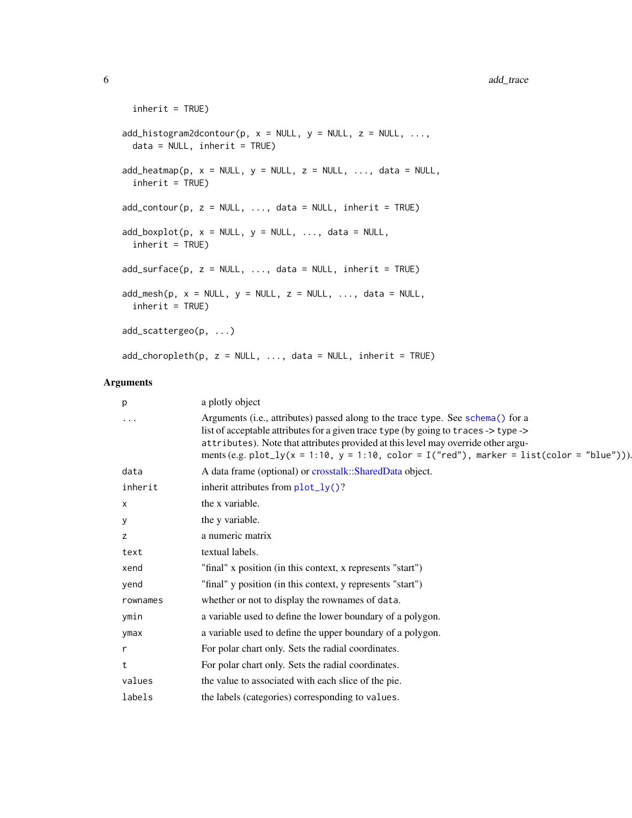```
inherit = TRUE)
add_histogram2dcontour(p, x = NULL, y = NULL, z = NULL, ...,
 data = NULL, inherit = TRUE)
add\_heatmap(p, x = NULL, y = NULL, z = NULL, ..., data = NULL,inherit = TRUE)
add\_contour(p, z = NULL, ..., data = NULL, inherit = TRUE)add\_boxplot(p, x = NULL, y = NULL, ..., data = NULL,inherit = TRUE)
add\_surface(p, z = NULL, ..., data = NULL, inherit = TRUE)add\_mesh(p, x = NULL, y = NULL, z = NULL, ..., data = NULL,inherit = TRUE)
add_scattergeo(p, ...)
add\_choropleth(p, z = NULL, ..., data = NULL, inherit = TRUE)
```

| р        | a plotly object                                                                                                                                                                                                                                                                                                                                              |
|----------|--------------------------------------------------------------------------------------------------------------------------------------------------------------------------------------------------------------------------------------------------------------------------------------------------------------------------------------------------------------|
|          | Arguments (i.e., attributes) passed along to the trace type. See schema() for a<br>list of acceptable attributes for a given trace type (by going to traces -> type -><br>attributes). Note that attributes provided at this level may override other argu-<br>ments (e.g. plot_ly(x = 1:10, y = 1:10, color = $I("red")$ , marker = list(color = "blue"))). |
| data     | A data frame (optional) or crosstalk::SharedData object.                                                                                                                                                                                                                                                                                                     |
| inherit  | inherit attributes from $plot_l(y)$ ?                                                                                                                                                                                                                                                                                                                        |
| X        | the x variable.                                                                                                                                                                                                                                                                                                                                              |
| у        | the y variable.                                                                                                                                                                                                                                                                                                                                              |
| z        | a numeric matrix                                                                                                                                                                                                                                                                                                                                             |
| text     | textual labels.                                                                                                                                                                                                                                                                                                                                              |
| xend     | "final" x position (in this context, x represents "start")                                                                                                                                                                                                                                                                                                   |
| yend     | "final" y position (in this context, y represents "start")                                                                                                                                                                                                                                                                                                   |
| rownames | whether or not to display the rownames of data.                                                                                                                                                                                                                                                                                                              |
| ymin     | a variable used to define the lower boundary of a polygon.                                                                                                                                                                                                                                                                                                   |
| ymax     | a variable used to define the upper boundary of a polygon.                                                                                                                                                                                                                                                                                                   |
| r        | For polar chart only. Sets the radial coordinates.                                                                                                                                                                                                                                                                                                           |
| t        | For polar chart only. Sets the radial coordinates.                                                                                                                                                                                                                                                                                                           |
| values   | the value to associated with each slice of the pie.                                                                                                                                                                                                                                                                                                          |
| labels   | the labels (categories) corresponding to values.                                                                                                                                                                                                                                                                                                             |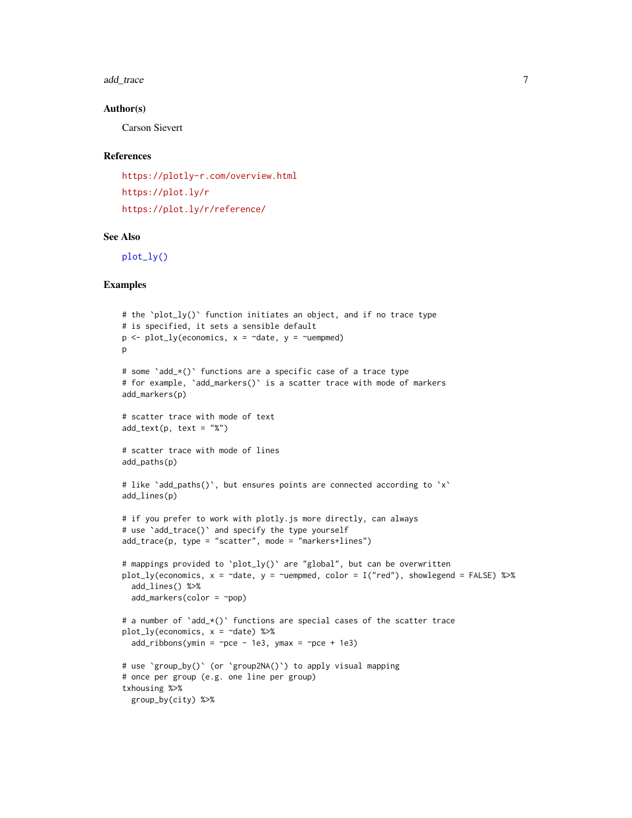<span id="page-6-0"></span>add\_trace 7 7

#### Author(s)

Carson Sievert

#### References

<https://plotly-r.com/overview.html> <https://plot.ly/r> <https://plot.ly/r/reference/>

#### See Also

[plot\\_ly\(\)](#page-46-1)

```
# the `plot_ly()` function initiates an object, and if no trace type
# is specified, it sets a sensible default
p <- plot_ly(economics, x = ~date, y = ~uempmed)
p
# some `add_*()` functions are a specific case of a trace type
# for example, `add_markers()` is a scatter trace with mode of markers
add_markers(p)
# scatter trace with mode of text
add\_text(p, text = "X")# scatter trace with mode of lines
add_paths(p)
# like 'add_paths()', but ensures points are connected according to 'x'
add_lines(p)
# if you prefer to work with plotly. is more directly, can always
# use 'add_trace()' and specify the type yourself
add_trace(p, type = "scatter", mode = "markers+lines")
# mappings provided to `plot_ly()` are "global", but can be overwritten
plot_ly(economics, x = ~date, y = ~uempmed, color = I("red"), showlegend = FALSE) %>%
  add_lines() %>%
  add_markers(color = ~pop)
# a number of `add_*()` functions are special cases of the scatter trace
plot_ly(economics, x = ~date) %>%
  add\_ribbons(ymin = ~pce - 1e3, ymax = ~pce + 1e3)# use `group_by()` (or `group2NA()`) to apply visual mapping
# once per group (e.g. one line per group)
txhousing %>%
  group_by(city) %>%
```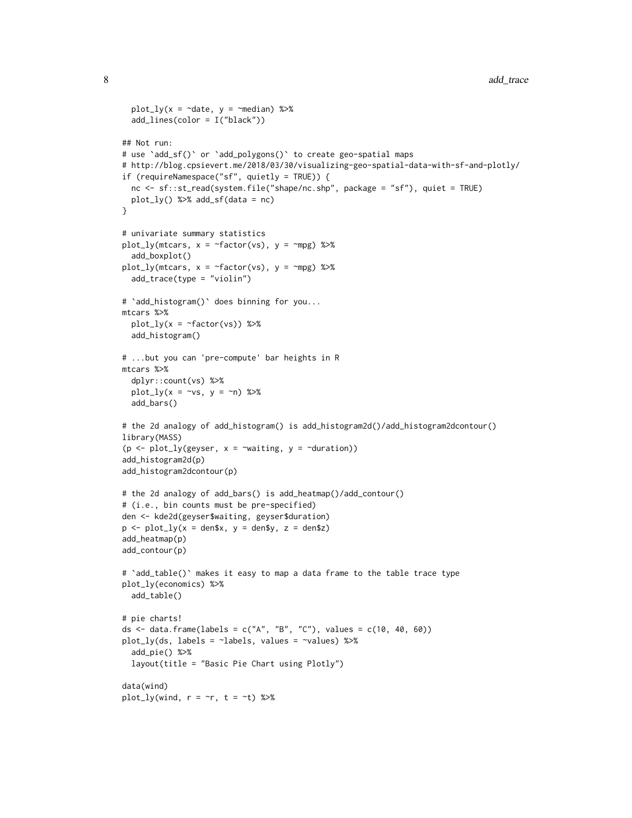```
plot_ly(x = ~date, y = ~median) %>%
  add_lines(color = I("black"))
## Not run:
# use `add_sf()` or `add_polygons()` to create geo-spatial maps
# http://blog.cpsievert.me/2018/03/30/visualizing-geo-spatial-data-with-sf-and-plotly/
if (requireNamespace("sf", quietly = TRUE)) {
  nc <- sf::st_read(system.file("shape/nc.shp", package = "sf"), quiet = TRUE)
  plot_{1}y() %>% add_sf(data = nc)
}
# univariate summary statistics
plot_ly(mtcars, x = \text{``factor}(vs), y = \text{``mpg)} %>%
  add_boxplot()
plot_ly(mtcars, x = \text{``factor}(vs), y = \text{``mpg)} %add_trace(type = "violin")
# `add_histogram()` does binning for you...
mtcars %>%
  plot_{1}y(x = -factor(vs)) %>%
  add_histogram()
# ...but you can 'pre-compute' bar heights in R
mtcars %>%
  dplyr::count(vs) %>%
  plot_{1}y(x = -vs, y = -n) %>%
  add_bars()
# the 2d analogy of add_histogram() is add_histogram2d()/add_histogram2dcontour()
library(MASS)
(p \le plot_ly(geyser, x = \simwaiting, y = \simduration))
add_histogram2d(p)
add_histogram2dcontour(p)
# the 2d analogy of add_bars() is add_heatmap()/add_contour()
# (i.e., bin counts must be pre-specified)
den <- kde2d(geyser$waiting, geyser$duration)
p \leq -\text{plot\_ly}(x = \text{den}\ x, y = \text{den}\ y, z = \text{den}\ z)add_heatmap(p)
add_contour(p)
# `add_table()` makes it easy to map a data frame to the table trace type
plot_ly(economics) %>%
  add_table()
# pie charts!
ds \le data.frame(labels = c("A", "B", "C"), values = c(10, 40, 60))
plot_ly(ds, labels = ~labels, values = ~values) %>%
  add_pie() %>%
  layout(title = "Basic Pie Chart using Plotly")
data(wind)
plot_ly(wind, r = \gamma r, t = \gamma t) %>%
```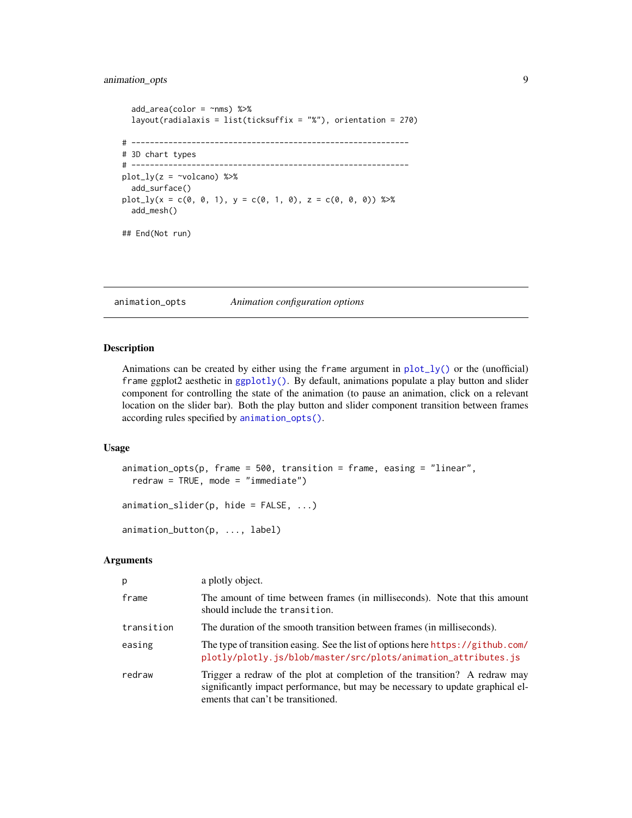### <span id="page-8-0"></span>animation\_opts 9

```
add\_area(color = \sim nms) %>%
 layout(radialaxis = list(ticksuffix = "%"), orientation = 270)
# ------------------------------------------------------------
# 3D chart types
# ------------------------------------------------------------
plot_{ly}(z = \simvolcano) %>%
 add_surface()
plot_{1}y(x = c(0, 0, 1), y = c(0, 1, 0), z = c(0, 0, 0)) %>%
 add_mesh()
## End(Not run)
```
<span id="page-8-1"></span>animation\_opts *Animation configuration options*

#### <span id="page-8-2"></span>Description

Animations can be created by either using the frame argument in  $plot_{1}y()$  or the (unofficial) frame ggplot2 aesthetic in [ggplotly\(\)](#page-22-1). By default, animations populate a play button and slider component for controlling the state of the animation (to pause an animation, click on a relevant location on the slider bar). Both the play button and slider component transition between frames according rules specified by [animation\\_opts\(\)](#page-8-1).

#### Usage

```
animation_opts(p, frame = 500, transition = frame, easing = "linear",
  redraw = TRUE, mode = "immediate")animation_slider(p, hide = FALSE, ...)
```
animation\_button(p, ..., label)

| p          | a plotly object.                                                                                                                                                                                   |
|------------|----------------------------------------------------------------------------------------------------------------------------------------------------------------------------------------------------|
| frame      | The amount of time between frames (in milliseconds). Note that this amount<br>should include the transition.                                                                                       |
| transition | The duration of the smooth transition between frames (in milliseconds).                                                                                                                            |
| easing     | The type of transition easing. See the list of options here https://github.com/<br>plotly/plotly.js/blob/master/src/plots/animation_attributes.js                                                  |
| redraw     | Trigger a redraw of the plot at completion of the transition? A redraw may<br>significantly impact performance, but may be necessary to update graphical el-<br>ements that can't be transitioned. |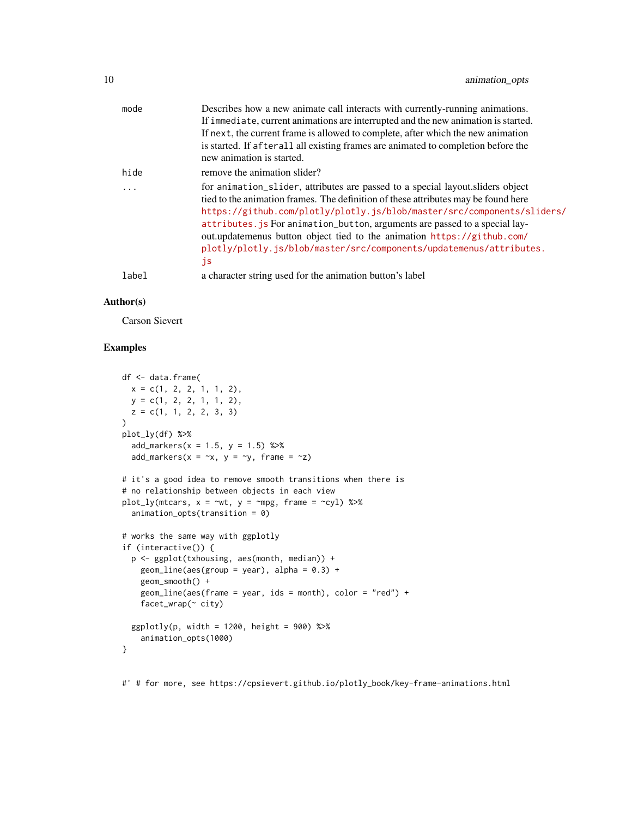| mode       | Describes how a new animate call interacts with currently-running animations.      |
|------------|------------------------------------------------------------------------------------|
|            | If immediate, current animations are interrupted and the new animation is started. |
|            | If next, the current frame is allowed to complete, after which the new animation   |
|            | is started. If afterall all existing frames are animated to completion before the  |
|            | new animation is started.                                                          |
| hide       | remove the animation slider?                                                       |
| $\ddots$ . | for animation_slider, attributes are passed to a special layout. sliders object    |
|            | tied to the animation frames. The definition of these attributes may be found here |
|            | https://github.com/plotly/plotly.js/blob/master/src/components/sliders/            |
|            | attributes. js For animation_button, arguments are passed to a special lay-        |
|            | out.updatemenus button object tied to the animation https://github.com/            |
|            | plotly/plotly.js/blob/master/src/components/updatemenus/attributes.                |
|            | js                                                                                 |
| label      | a character string used for the animation button's label                           |
|            |                                                                                    |

### Author(s)

Carson Sievert

### Examples

```
df <- data.frame(
 x = c(1, 2, 2, 1, 1, 2),
 y = c(1, 2, 2, 1, 1, 2),
 z = c(1, 1, 2, 2, 3, 3)\lambdaplot_ly(df) %>%
  add_markers(x = 1.5, y = 1.5) %>%
  add_markers(x = x, y = y, frame = -z)
# it's a good idea to remove smooth transitions when there is
# no relationship between objects in each view
plot_{ly}(mtcars, x = ~wt, y = ~mpg, frame = ~cyl) %>%
  animation_opts(transition = 0)
# works the same way with ggplotly
if (interactive()) {
  p <- ggplot(txhousing, aes(month, median)) +
   geom\_line(aes(group = year), alpha = 0.3) +geom_smooth() +
   geom_line(aes(frame = year, ids = month), color = "red") +
   facet_wrap(~ city)
  ggplotly(p, width = 1200, height = 900) %>%
    animation_opts(1000)
}
```
#' # for more, see https://cpsievert.github.io/plotly\_book/key-frame-animations.html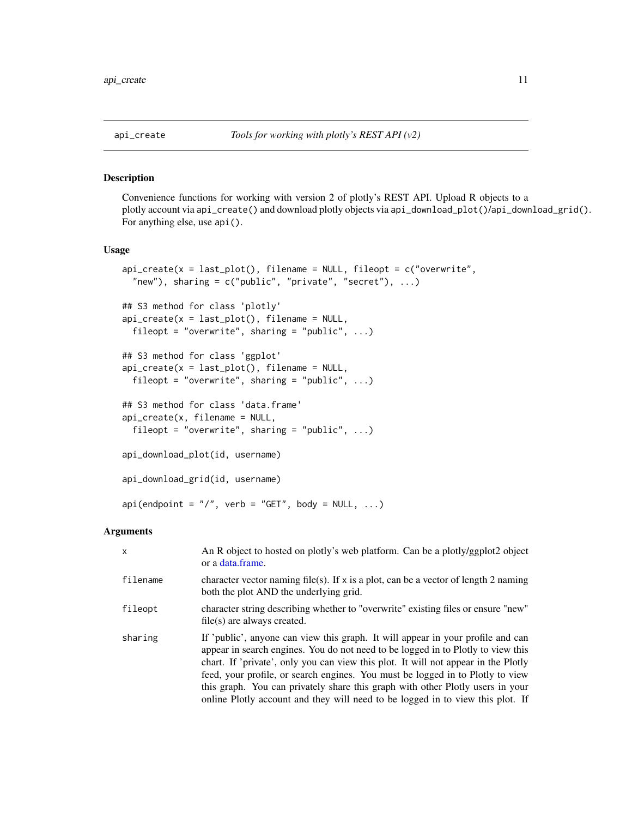<span id="page-10-2"></span><span id="page-10-1"></span><span id="page-10-0"></span>

Convenience functions for working with version 2 of plotly's REST API. Upload R objects to a plotly account via api\_create() and download plotly objects via api\_download\_plot()/api\_download\_grid(). For anything else, use api().

#### Usage

```
api\_create(x = last.plot(), filename = NULL, fileopt = c("overwrite","new"), sharing = c("public", "private", "secret"), ...## S3 method for class 'plotly'
api\_create(x = last\_plot(), filename = NULL,
  fileopt = "overwrite", sharing = "public", \ldots)
## S3 method for class 'ggplot'
api\_create(x = last\_plot(), filename = NULL,
  fileopt = "overwrite", sharing = "public", \dots)
## S3 method for class 'data.frame'
api_create(x, filename = NULL,
  fileopt = "overwrite", sharing = "public", \ldots)
api_download_plot(id, username)
api_download_grid(id, username)
api(endpoint = "I", verb = "GET", body = NULL, ...)
```

| $\mathsf{x}$ | An R object to hosted on plotly's web platform. Can be a plotly/ggplot2 object<br>or a data frame.                                                                                                                                                                                                                                                                                                                                                                                                              |
|--------------|-----------------------------------------------------------------------------------------------------------------------------------------------------------------------------------------------------------------------------------------------------------------------------------------------------------------------------------------------------------------------------------------------------------------------------------------------------------------------------------------------------------------|
| filename     | character vector naming file(s). If x is a plot, can be a vector of length 2 naming<br>both the plot AND the underlying grid.                                                                                                                                                                                                                                                                                                                                                                                   |
| fileopt      | character string describing whether to "overwrite" existing files or ensure "new"<br>$file(s)$ are always created.                                                                                                                                                                                                                                                                                                                                                                                              |
| sharing      | If 'public', anyone can view this graph. It will appear in your profile and can<br>appear in search engines. You do not need to be logged in to Plotly to view this<br>chart. If 'private', only you can view this plot. It will not appear in the Plotly<br>feed, your profile, or search engines. You must be logged in to Plotly to view<br>this graph. You can privately share this graph with other Plotly users in your<br>online Plotly account and they will need to be logged in to view this plot. If |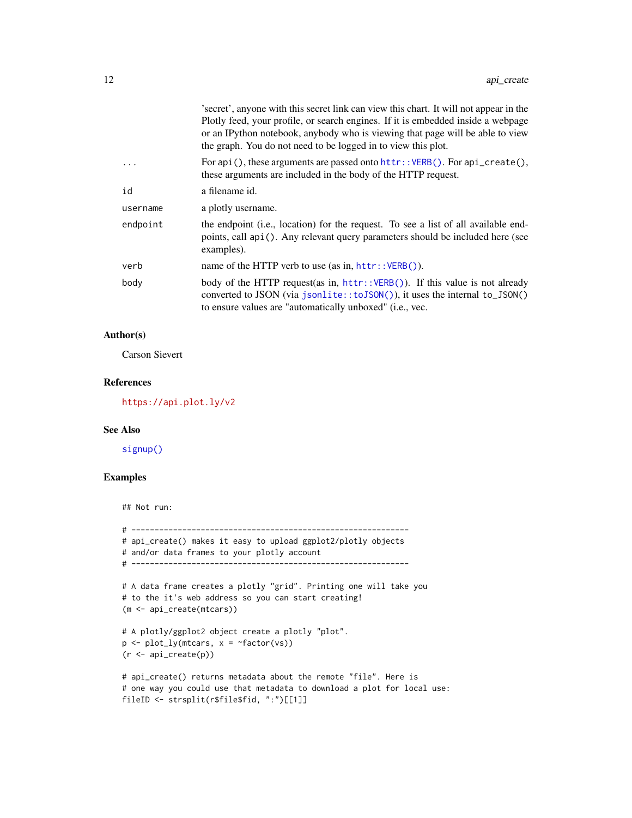<span id="page-11-0"></span>

|          | secret, anyone with this secret link can view this chart. It will not appear in the<br>Plotly feed, your profile, or search engines. If it is embedded inside a webpage<br>or an IPython notebook, anybody who is viewing that page will be able to view<br>the graph. You do not need to be logged in to view this plot. |
|----------|---------------------------------------------------------------------------------------------------------------------------------------------------------------------------------------------------------------------------------------------------------------------------------------------------------------------------|
|          | For $api()$ , these arguments are passed onto $http://ERB()$ . For $api\_create(),$<br>these arguments are included in the body of the HTTP request.                                                                                                                                                                      |
| id       | a filename id.                                                                                                                                                                                                                                                                                                            |
| username | a plotly username.                                                                                                                                                                                                                                                                                                        |
| endpoint | the endpoint ( <i>i.e.</i> , location) for the request. To see a list of all available end-<br>points, call api (). Any relevant query parameters should be included here (see<br>examples).                                                                                                                              |
| verb     | name of the HTTP verb to use $(as in, http://ERB()).$                                                                                                                                                                                                                                                                     |
| body     | body of the HTTP request (as in, $http://ERB())$ ). If this value is not already<br>converted to JSON (via jsonlite::toJSON()), it uses the internal to_JSON()<br>to ensure values are "automatically unboxed" (i.e., vec.                                                                                                |

### Author(s)

Carson Sievert

#### References

<https://api.plot.ly/v2>

#### See Also

[signup\(\)](#page-56-1)

### Examples

## Not run:

```
# ------------------------------------------------------------
# api_create() makes it easy to upload ggplot2/plotly objects
# and/or data frames to your plotly account
# ------------------------------------------------------------
# A data frame creates a plotly "grid". Printing one will take you
# to the it's web address so you can start creating!
(m <- api_create(mtcars))
# A plotly/ggplot2 object create a plotly "plot".
p \leftarrow plot_{ly(mtcars, x = \neg factor(vs))(r <- api_create(p))
# api_create() returns metadata about the remote "file". Here is
# one way you could use that metadata to download a plot for local use:
fileID <- strsplit(r$file$fid, ":")[[1]]
```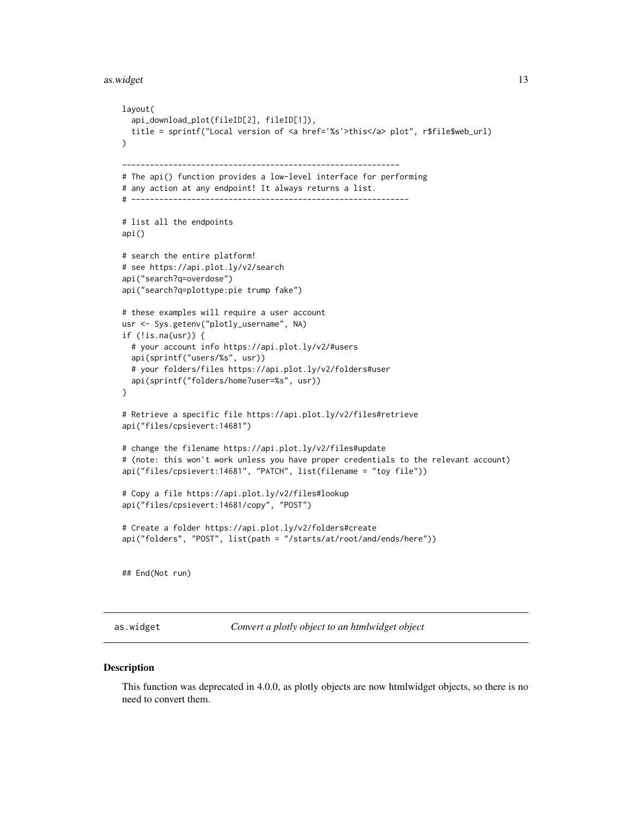#### <span id="page-12-0"></span>as.widget 13

```
layout(
 api_download_plot(fileID[2], fileID[1]),
 title = sprintf("Local version of <a href='%s'>this</a> plot", r$file$web_url)
\lambda------------------------------------------------------------
# The api() function provides a low-level interface for performing
# any action at any endpoint! It always returns a list.
# ------------------------------------------------------------
# list all the endpoints
api()
# search the entire platform!
# see https://api.plot.ly/v2/search
api("search?q=overdose")
api("search?q=plottype:pie trump fake")
# these examples will require a user account
usr <- Sys.getenv("plotly_username", NA)
if (!is.na(usr)) {
 # your account info https://api.plot.ly/v2/#users
 api(sprintf("users/%s", usr))
 # your folders/files https://api.plot.ly/v2/folders#user
 api(sprintf("folders/home?user=%s", usr))
}
# Retrieve a specific file https://api.plot.ly/v2/files#retrieve
api("files/cpsievert:14681")
# change the filename https://api.plot.ly/v2/files#update
# (note: this won't work unless you have proper credentials to the relevant account)
api("files/cpsievert:14681", "PATCH", list(filename = "toy file"))
# Copy a file https://api.plot.ly/v2/files#lookup
api("files/cpsievert:14681/copy", "POST")
# Create a folder https://api.plot.ly/v2/folders#create
api("folders", "POST", list(path = "/starts/at/root/and/ends/here"))
## End(Not run)
```
as.widget *Convert a plotly object to an htmlwidget object*

#### Description

This function was deprecated in 4.0.0, as plotly objects are now htmlwidget objects, so there is no need to convert them.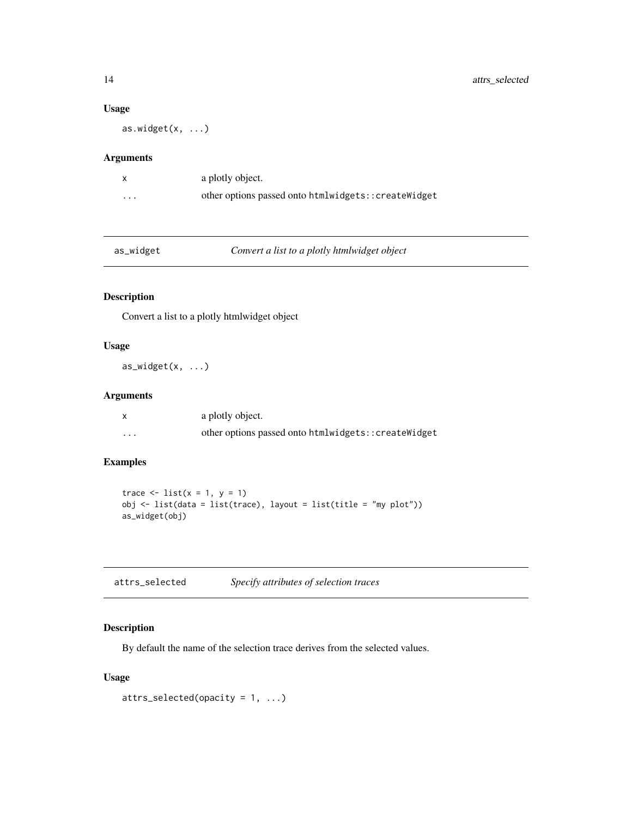### Usage

as.widget $(x, \ldots)$ 

#### Arguments

|          | a plotly object.                                    |
|----------|-----------------------------------------------------|
| $\cdots$ | other options passed onto htmlwidgets::createWidget |

|  | as widget |
|--|-----------|
|  |           |

dget **Convert a list to a plotly htmlwidget object** 

### Description

Convert a list to a plotly htmlwidget object

### Usage

as\_widget(x, ...)

### Arguments

|                   | a plotly object.                                    |
|-------------------|-----------------------------------------------------|
| $\cdot\cdot\cdot$ | other options passed onto htmlwidgets::createWidget |

### Examples

```
trace \leftarrow list(x = 1, y = 1)
obj <- list(data = list(trace), layout = list(title = "my plot"))
as_widget(obj)
```
<span id="page-13-1"></span>

### Description

By default the name of the selection trace derives from the selected values.

#### Usage

```
attrs_selected(opacity = 1, ...)
```
<span id="page-13-0"></span>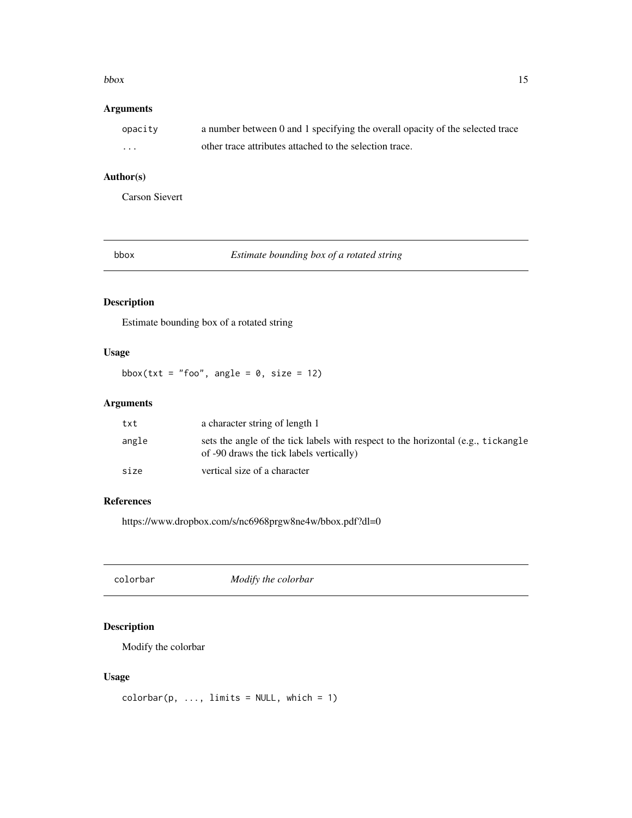#### <span id="page-14-0"></span> $bbox$  15

### Arguments

| opacity | a number between 0 and 1 specifying the overall opacity of the selected trace |
|---------|-------------------------------------------------------------------------------|
| .       | other trace attributes attached to the selection trace.                       |

### Author(s)

Carson Sievert

| ю<br>١C |
|---------|
|---------|

bbox *Estimate bounding box of a rotated string*

### Description

Estimate bounding box of a rotated string

### Usage

bbox(txt = "foo", angle =  $0$ , size = 12)

### Arguments

| txt   | a character string of length 1                                                                                                |
|-------|-------------------------------------------------------------------------------------------------------------------------------|
| angle | sets the angle of the tick labels with respect to the horizontal (e.g., tickangle<br>of -90 draws the tick labels vertically) |
| size  | vertical size of a character                                                                                                  |

### References

https://www.dropbox.com/s/nc6968prgw8ne4w/bbox.pdf?dl=0

colorbar *Modify the colorbar*

### Description

Modify the colorbar

#### Usage

 $colorbar(p, ..., limits = NULL, which = 1)$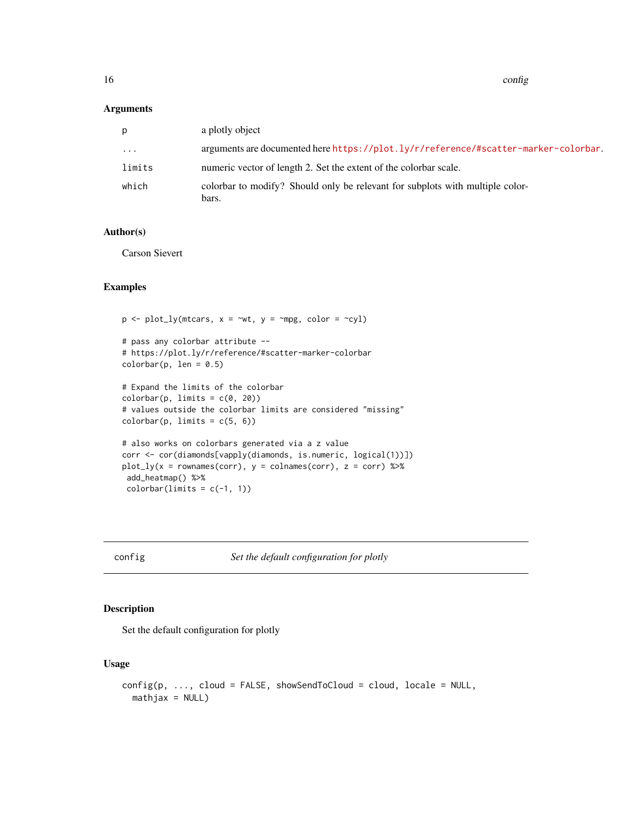<span id="page-15-0"></span>16 configuration of the configuration of the configuration of the configuration of the configuration of the configuration of the configuration of the configuration of the configuration of the configuration of the configura

#### Arguments

| р        | a plotly object                                                                        |
|----------|----------------------------------------------------------------------------------------|
| $\ddots$ | arguments are documented here https://plot.ly/r/reference/#scatter-marker-colorbar.    |
| limits   | numeric vector of length 2. Set the extent of the colorbar scale.                      |
| which    | colorbar to modify? Should only be relevant for subplots with multiple color-<br>bars. |

### Author(s)

Carson Sievert

### Examples

```
p \leftarrow plot\_ly(mtcars, x = \sim wt, y = \sim mpg, color = \sim cyl)# pass any colorbar attribute --
# https://plot.ly/r/reference/#scatter-marker-colorbar
colorbar(p, len = 0.5)# Expand the limits of the colorbar
colorbar(p, limits = c(0, 20))# values outside the colorbar limits are considered "missing"
colorbar(p, limits = c(5, 6))# also works on colorbars generated via a z value
corr <- cor(diamonds[vapply(diamonds, is.numeric, logical(1))])
plot_{ly}(x = rownames(corr), y = colnames(corr), z = corr) %add_heatmap() %>%
 colorbar(limits = c(-1, 1))
```
<span id="page-15-1"></span>config *Set the default configuration for plotly*

### Description

Set the default configuration for plotly

#### Usage

```
config(p, ..., cloud = FALSE, showSendToCloud = cloud, locale = NULL,math
```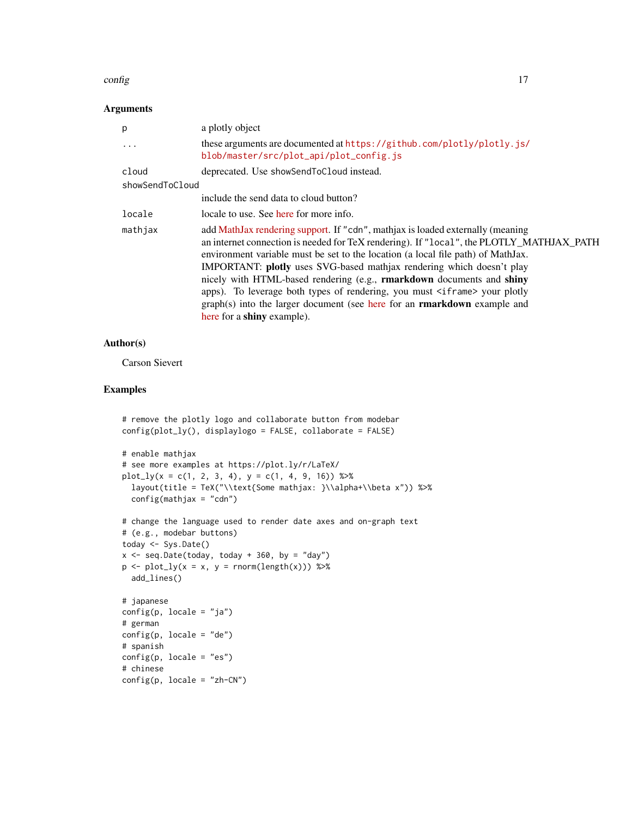#### config to the configuration of the configuration of the configuration of the configuration of the configuration of the configuration of the configuration of the configuration of the configuration of the configuration of th

#### Arguments

| p               | a plotly object                                                                                                                                                                                                                                                                                                                                                                                                                                                                                                                                                                                                           |
|-----------------|---------------------------------------------------------------------------------------------------------------------------------------------------------------------------------------------------------------------------------------------------------------------------------------------------------------------------------------------------------------------------------------------------------------------------------------------------------------------------------------------------------------------------------------------------------------------------------------------------------------------------|
| .               | these arguments are documented at https://github.com/plotly/plotly.js/<br>blob/master/src/plot_api/plot_config.js                                                                                                                                                                                                                                                                                                                                                                                                                                                                                                         |
| cloud           | deprecated. Use showSendToCloud instead.                                                                                                                                                                                                                                                                                                                                                                                                                                                                                                                                                                                  |
| showSendToCloud |                                                                                                                                                                                                                                                                                                                                                                                                                                                                                                                                                                                                                           |
|                 | include the send data to cloud button?                                                                                                                                                                                                                                                                                                                                                                                                                                                                                                                                                                                    |
| locale          | locale to use. See here for more info.                                                                                                                                                                                                                                                                                                                                                                                                                                                                                                                                                                                    |
| mathjax         | add MathJax rendering support. If "cdn", mathjax is loaded externally (meaning<br>an internet connection is needed for TeX rendering). If "local", the PLOTLY_MATHJAX_PATH<br>environment variable must be set to the location (a local file path) of MathJax.<br>IMPORTANT: plotly uses SVG-based mathjax rendering which doesn't play<br>nicely with HTML-based rendering (e.g., rmarkdown documents and shiny<br>apps). To leverage both types of rendering, you must <iframe> your plotly<br/>graph(s) into the larger document (see here for an <b>rmarkdown</b> example and<br/>here for a shiny example).</iframe> |

#### Author(s)

Carson Sievert

```
# remove the plotly logo and collaborate button from modebar
config(plot_ly(), displaylogo = FALSE, collaborate = FALSE)
# enable mathjax
# see more examples at https://plot.ly/r/LaTeX/
plot_{1}y(x = c(1, 2, 3, 4), y = c(1, 4, 9, 16)) %>%
  layout(title = TeX("\\text{Some mathjax: }\\alpha+\\beta x")) %>%
  config(mathjax = "cdn")
# change the language used to render date axes and on-graph text
# (e.g., modebar buttons)
today <- Sys.Date()
x \le - seq.Date(today, today + 360, by = "day")
p \leftarrow plot_{ly(x = x, y = \text{norm}(\text{length}(x))) %>%
  add_lines()
# japanese
config(p, locale = "ja")
# german
config(p, locale = "de")# spanish
config(p, locale = "es")# chinese
config(p, locale = "zh-CN")
```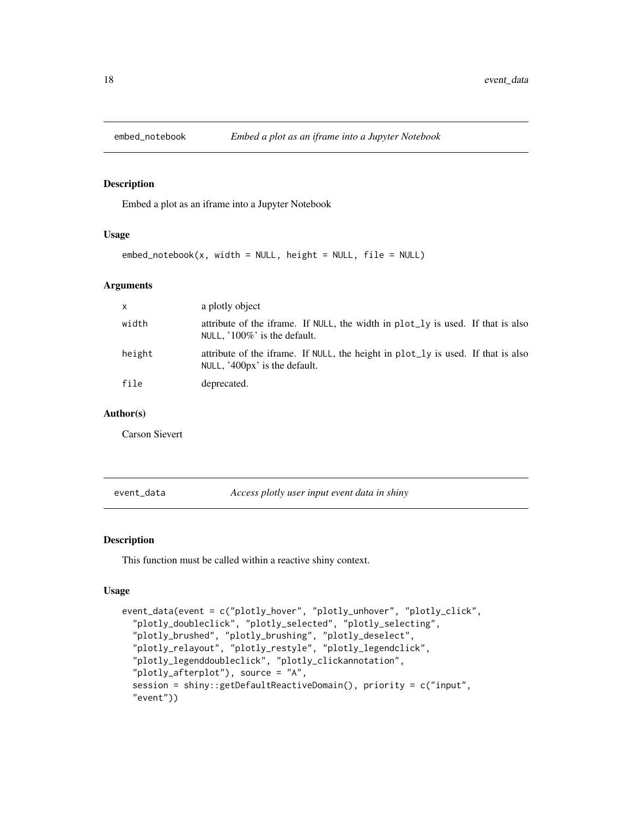<span id="page-17-0"></span>

Embed a plot as an iframe into a Jupyter Notebook

#### Usage

embed\_notebook(x, width = NULL, height = NULL, file = NULL)

#### Arguments

| $\mathsf{x}$ | a plotly object                                                                                                     |
|--------------|---------------------------------------------------------------------------------------------------------------------|
| width        | attribute of the iframe. If NULL, the width in plot_ly is used. If that is also<br>NULL, $100\%$ is the default.    |
| height       | attribute of the iframe. If NULL, the height in plot_ly is used. If that is also<br>NULL, $'400px'$ is the default. |
| file         | deprecated.                                                                                                         |

#### Author(s)

Carson Sievert

<span id="page-17-1"></span>event\_data *Access plotly user input event data in shiny*

#### Description

This function must be called within a reactive shiny context.

#### Usage

```
event_data(event = c("plotly_hover", "plotly_unhover", "plotly_click",
  "plotly_doubleclick", "plotly_selected", "plotly_selecting",
  "plotly_brushed", "plotly_brushing", "plotly_deselect",
 "plotly_relayout", "plotly_restyle", "plotly_legendclick",
  "plotly_legenddoubleclick", "plotly_clickannotation",
  "plotly_afterplot"), source = "A",
  session = shiny::getDefaultReactiveDomain(), priority = c("input",
  "event"))
```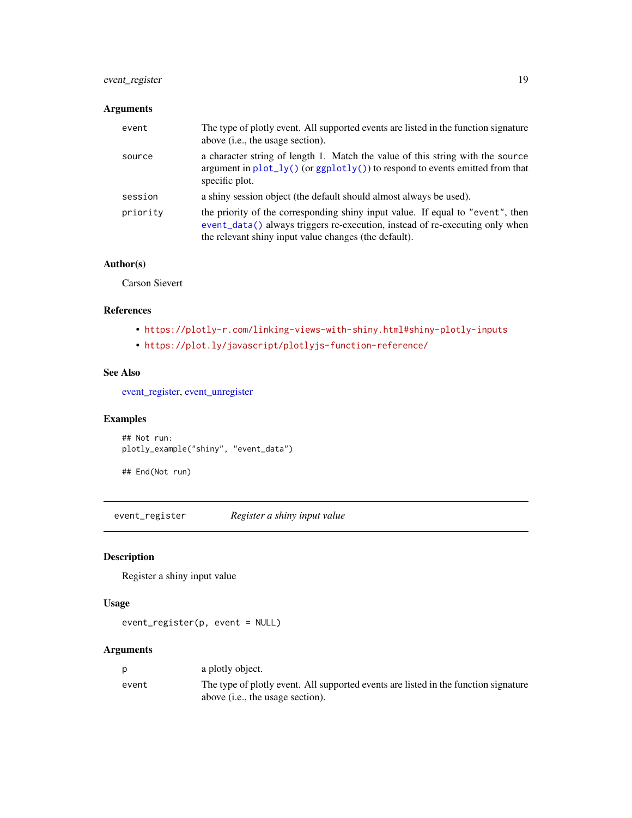### <span id="page-18-0"></span>event\_register 19

### Arguments

| event    | The type of plotly event. All supported events are listed in the function signature<br>above ( <i>i.e.</i> , the usage section).                                                                                        |
|----------|-------------------------------------------------------------------------------------------------------------------------------------------------------------------------------------------------------------------------|
| source   | a character string of length 1. Match the value of this string with the source<br>argument in $plot_{1}y()$ (or $ggplot1y()$ ) to respond to events emitted from that<br>specific plot.                                 |
| session  | a shiny session object (the default should almost always be used).                                                                                                                                                      |
| priority | the priority of the corresponding shiny input value. If equal to "event", then<br>event_data() always triggers re-execution, instead of re-executing only when<br>the relevant shiny input value changes (the default). |

#### Author(s)

Carson Sievert

#### References

- <https://plotly-r.com/linking-views-with-shiny.html#shiny-plotly-inputs>
- <https://plot.ly/javascript/plotlyjs-function-reference/>

#### See Also

[event\\_register,](#page-18-1) [event\\_unregister](#page-19-1)

### Examples

```
## Not run:
plotly_example("shiny", "event_data")
```

```
## End(Not run)
```
<span id="page-18-1"></span>event\_register *Register a shiny input value*

### Description

Register a shiny input value

#### Usage

```
event_register(p, event = NULL)
```

| D     | a plotly object.                                                                    |
|-------|-------------------------------------------------------------------------------------|
| event | The type of plotly event. All supported events are listed in the function signature |
|       | above (i.e., the usage section).                                                    |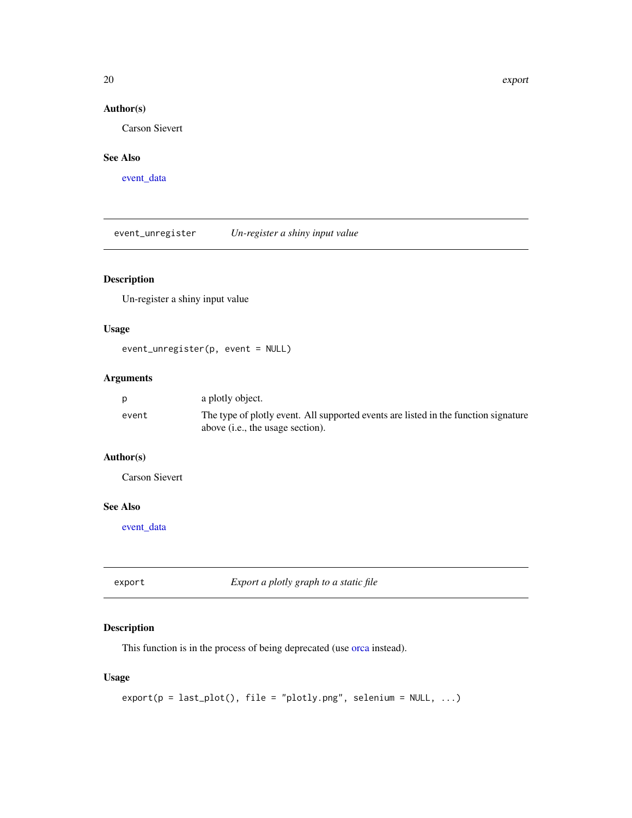<span id="page-19-0"></span>20 export

### Author(s)

Carson Sievert

### See Also

[event\\_data](#page-17-1)

<span id="page-19-1"></span>event\_unregister *Un-register a shiny input value*

### Description

Un-register a shiny input value

### Usage

event\_unregister(p, event = NULL)

### Arguments

| <b>D</b> | a plotly object.                                                                                                                 |
|----------|----------------------------------------------------------------------------------------------------------------------------------|
| event    | The type of plotly event. All supported events are listed in the function signature<br>above ( <i>i.e.</i> , the usage section). |

### Author(s)

Carson Sievert

### See Also

[event\\_data](#page-17-1)

export *Export a plotly graph to a static file*

### Description

This function is in the process of being deprecated (use [orca](#page-33-1) instead).

### Usage

```
export(p = last_plot(), file = "plotly.png", selenium = NULL, ...)
```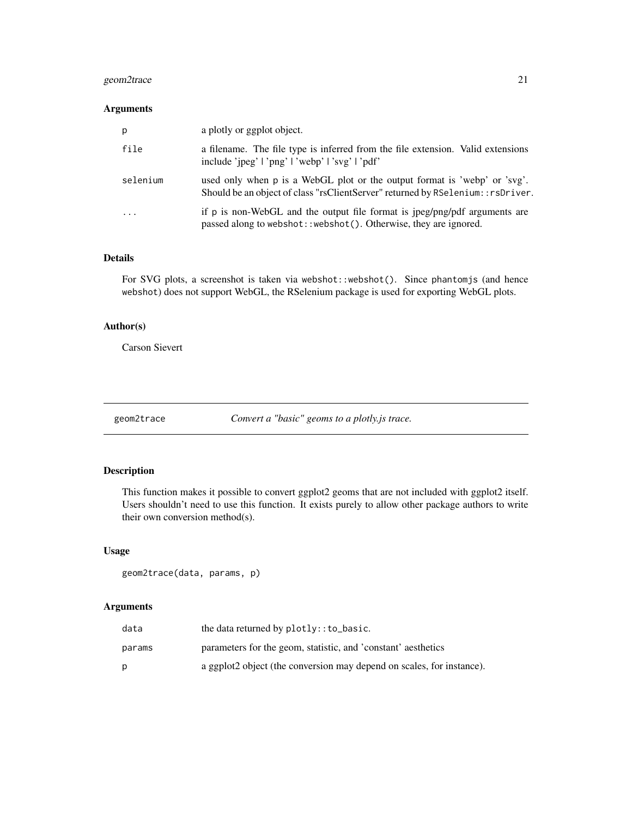### <span id="page-20-0"></span>geom2trace 21

#### Arguments

| p        | a plotly or ggplot object.                                                                                                                                    |
|----------|---------------------------------------------------------------------------------------------------------------------------------------------------------------|
| file     | a filename. The file type is inferred from the file extension. Valid extensions<br>include 'ipeg'   'png'   'webp'   'svg'   'pdf'                            |
| selenium | used only when p is a WebGL plot or the output format is 'webp' or 'svg'.<br>Should be an object of class "rsClientServer" returned by RSelenium: : rsDriver. |
| $\cdot$  | if p is non-WebGL and the output file format is jpeg/png/pdf arguments are<br>passed along to webshot:: webshot(). Otherwise, they are ignored.               |

### Details

For SVG plots, a screenshot is taken via webshot::webshot(). Since phantomjs (and hence webshot) does not support WebGL, the RSelenium package is used for exporting WebGL plots.

#### Author(s)

Carson Sievert

geom2trace *Convert a "basic" geoms to a plotly.js trace.*

### Description

This function makes it possible to convert ggplot2 geoms that are not included with ggplot2 itself. Users shouldn't need to use this function. It exists purely to allow other package authors to write their own conversion method(s).

#### Usage

geom2trace(data, params, p)

| data   | the data returned by $plotly$ : $to$ $\&basic$ .                      |
|--------|-----------------------------------------------------------------------|
| params | parameters for the geom, statistic, and 'constant' aesthetics         |
| D      | a ggplot2 object (the conversion may depend on scales, for instance). |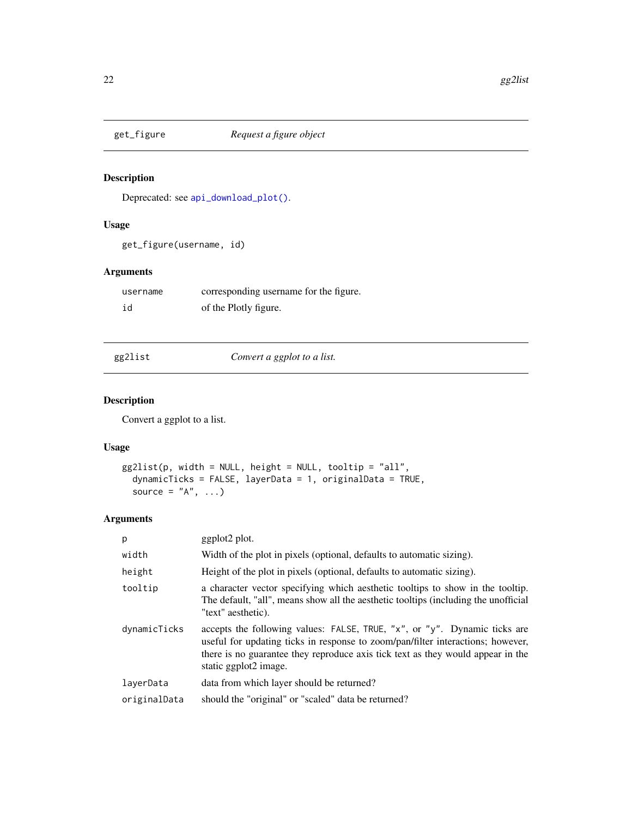<span id="page-21-1"></span><span id="page-21-0"></span>

Deprecated: see [api\\_download\\_plot\(\)](#page-10-1).

### Usage

```
get_figure(username, id)
```
### Arguments

| username | corresponding username for the figure. |
|----------|----------------------------------------|
| id       | of the Plotly figure.                  |

| eg2lis. | т |
|---------|---|
|         |   |

gg2list *Convert a ggplot to a list.*

### Description

Convert a ggplot to a list.

### Usage

```
gg2list(p, width = NULL, height = NULL, tooltip = "all",
  dynamicTicks = FALSE, layerData = 1, originalData = TRUE,
  source = "A", \ldots)
```

| p            | ggplot2 plot.                                                                                                                                                                                                                                                            |
|--------------|--------------------------------------------------------------------------------------------------------------------------------------------------------------------------------------------------------------------------------------------------------------------------|
| width        | Width of the plot in pixels (optional, defaults to automatic sizing).                                                                                                                                                                                                    |
| height       | Height of the plot in pixels (optional, defaults to automatic sizing).                                                                                                                                                                                                   |
| tooltip      | a character vector specifying which aesthetic tooltips to show in the tooltip.<br>The default, "all", means show all the aesthetic tooltips (including the unofficial<br>"text" aesthetic).                                                                              |
| dynamicTicks | accepts the following values: FALSE, TRUE, "x", or "y". Dynamic ticks are<br>useful for updating ticks in response to zoom/pan/filter interactions; however,<br>there is no guarantee they reproduce axis tick text as they would appear in the<br>static ggplot2 image. |
| layerData    | data from which layer should be returned?                                                                                                                                                                                                                                |
| originalData | should the "original" or "scaled" data be returned?                                                                                                                                                                                                                      |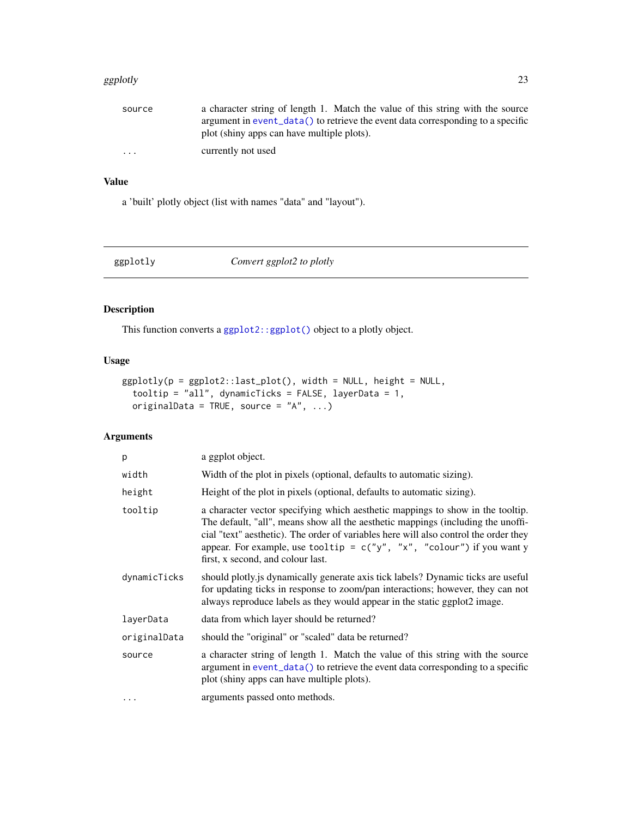#### <span id="page-22-0"></span>ggplotly 23

| source   | a character string of length 1. Match the value of this string with the source          |
|----------|-----------------------------------------------------------------------------------------|
|          | argument in event $\lnot$ data() to retrieve the event data corresponding to a specific |
|          | plot (shiny apps can have multiple plots).                                              |
| $\cdots$ | currently not used                                                                      |

### Value

a 'built' plotly object (list with names "data" and "layout").

<span id="page-22-1"></span>

| ggplotly | Convert ggplot2 to plotly |  |
|----------|---------------------------|--|

### Description

This function converts a [ggplot2::ggplot\(\)](#page-0-0) object to a plotly object.

### Usage

```
ggplotly(p = ggplot2::last_plot(), width = NULL, height = NULL,
  tooltip = "all", dynamicTicks = FALSE, layerData = 1,
 originalData = TRUE, source = ^nA^n, ...)
```

| p            | a ggplot object.                                                                                                                                                                                                                                                                                                                                                            |
|--------------|-----------------------------------------------------------------------------------------------------------------------------------------------------------------------------------------------------------------------------------------------------------------------------------------------------------------------------------------------------------------------------|
| width        | Width of the plot in pixels (optional, defaults to automatic sizing).                                                                                                                                                                                                                                                                                                       |
| height       | Height of the plot in pixels (optional, defaults to automatic sizing).                                                                                                                                                                                                                                                                                                      |
| tooltip      | a character vector specifying which aesthetic mappings to show in the tooltip.<br>The default, "all", means show all the aesthetic mappings (including the unoffi-<br>cial "text" aesthetic). The order of variables here will also control the order they<br>appear. For example, use tooltip = $c("y", "x", "colour")$ if you want y<br>first, x second, and colour last. |
| dynamicTicks | should plotly is dynamically generate axis tick labels? Dynamic ticks are useful<br>for updating ticks in response to zoom/pan interactions; however, they can not<br>always reproduce labels as they would appear in the static ggplot2 image.                                                                                                                             |
| layerData    | data from which layer should be returned?                                                                                                                                                                                                                                                                                                                                   |
| originalData | should the "original" or "scaled" data be returned?                                                                                                                                                                                                                                                                                                                         |
| source       | a character string of length 1. Match the value of this string with the source<br>argument in event_data() to retrieve the event data corresponding to a specific<br>plot (shiny apps can have multiple plots).                                                                                                                                                             |
|              | arguments passed onto methods.                                                                                                                                                                                                                                                                                                                                              |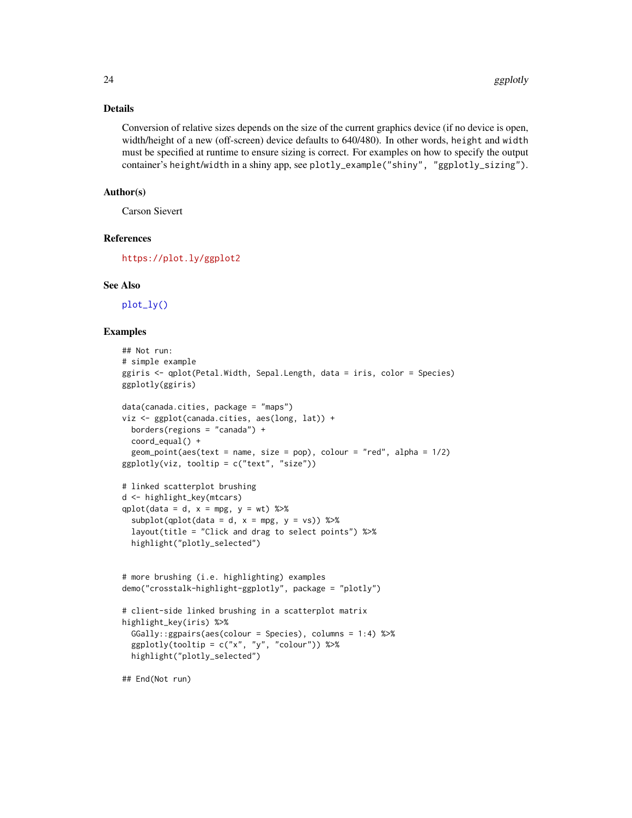#### <span id="page-23-0"></span>Details

Conversion of relative sizes depends on the size of the current graphics device (if no device is open, width/height of a new (off-screen) device defaults to 640/480). In other words, height and width must be specified at runtime to ensure sizing is correct. For examples on how to specify the output container's height/width in a shiny app, see plotly\_example("shiny", "ggplotly\_sizing").

#### Author(s)

Carson Sievert

### References

<https://plot.ly/ggplot2>

#### See Also

[plot\\_ly\(\)](#page-46-1)

```
## Not run:
# simple example
ggiris <- qplot(Petal.Width, Sepal.Length, data = iris, color = Species)
ggplotly(ggiris)
data(canada.cities, package = "maps")
viz <- ggplot(canada.cities, aes(long, lat)) +
  borders(regions = "canada") +
  coord_equal() +
  geom\_point(aes(text = name, size = pop), colour = "red", alpha = 1/2)ggplotly(viz, tooltip = c("text", "size"))
# linked scatterplot brushing
d <- highlight_key(mtcars)
qplot(data = d, x = mpg, y = wt) %>%
  subplot(qplot(data = d, x = mpg, y = vs)) %>%
  layout(title = "Click and drag to select points") %>%
  highlight("plotly_selected")
# more brushing (i.e. highlighting) examples
demo("crosstalk-highlight-ggplotly", package = "plotly")
# client-side linked brushing in a scatterplot matrix
highlight_key(iris) %>%
  GGally::ggpairs(aes(colour = Species), columns = 1:4) %>%
  ggplotly(tooltip = c("x", "y", "colour")) %>%
  highlight("plotly_selected")
## End(Not run)
```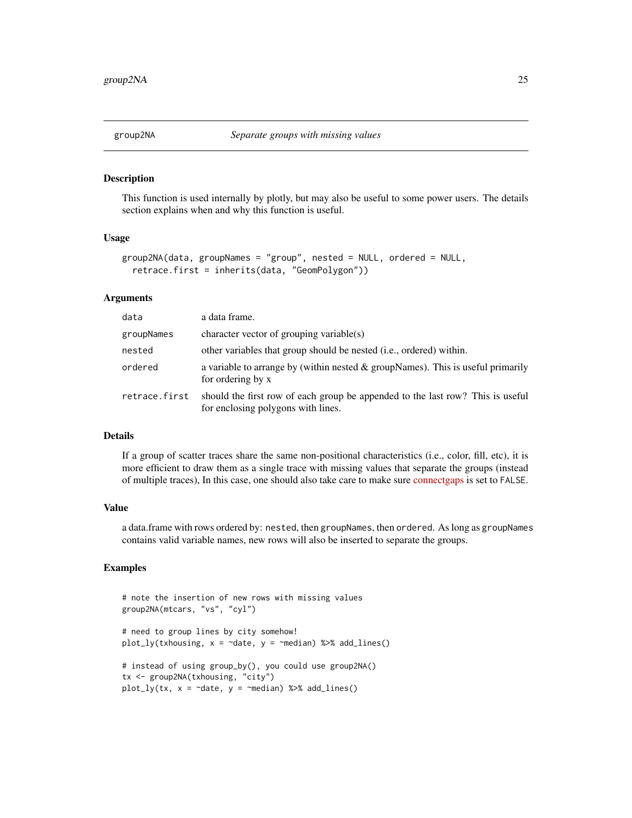<span id="page-24-0"></span>

This function is used internally by plotly, but may also be useful to some power users. The details section explains when and why this function is useful.

#### Usage

```
group2NA(data, groupNames = "group", nested = NULL, ordered = NULL,
  retrace.first = inherits(data, "GeomPolygon"))
```
#### Arguments

| data          | a data frame.                                                                                                        |
|---------------|----------------------------------------------------------------------------------------------------------------------|
| groupNames    | character vector of grouping variable(s)                                                                             |
| nested        | other variables that group should be nested ( <i>i.e.</i> , ordered) within.                                         |
| ordered       | a variable to arrange by (within nested $\&$ groupNames). This is useful primarily<br>for ordering by x              |
| retrace.first | should the first row of each group be appended to the last row? This is useful<br>for enclosing polygons with lines. |

#### Details

If a group of scatter traces share the same non-positional characteristics (i.e., color, fill, etc), it is more efficient to draw them as a single trace with missing values that separate the groups (instead of multiple traces), In this case, one should also take care to make sure [connectgaps](https://plot.ly/r/reference/#scatter-connectgaps) is set to FALSE.

#### Value

a data.frame with rows ordered by: nested, then groupNames, then ordered. As long as groupNames contains valid variable names, new rows will also be inserted to separate the groups.

```
# note the insertion of new rows with missing values
group2NA(mtcars, "vs", "cyl")
# need to group lines by city somehow!
plot_ly(txhousing, x = ~date, y = ~median) %>% add_lines()
# instead of using group_by(), you could use group2NA()
tx <- group2NA(txhousing, "city")
plot_ly(tx, x = ~date, y = ~median) %>% add_lines()
```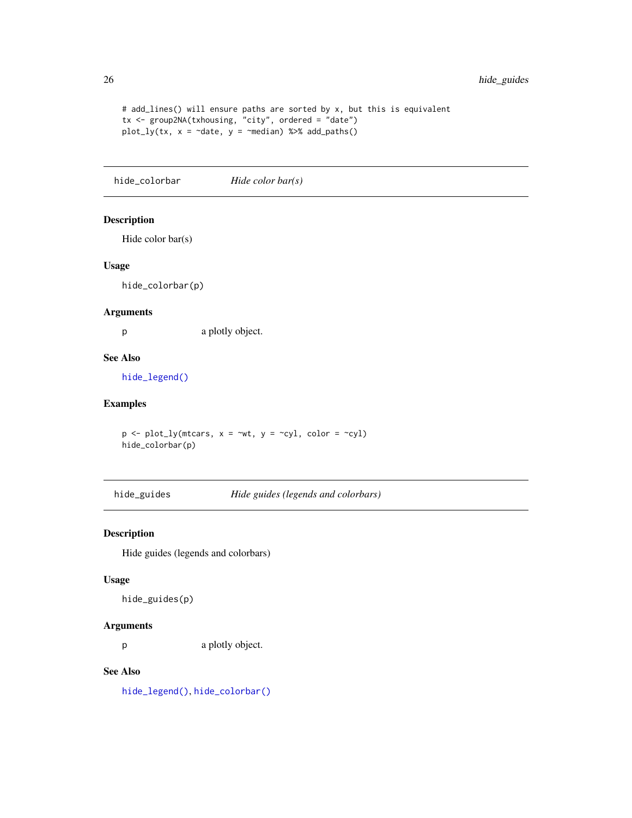```
# add_lines() will ensure paths are sorted by x, but this is equivalent
tx <- group2NA(txhousing, "city", ordered = "date")
plot_{ly(tx, x = 'date, y = 'median)} %>% add_paths()
```
<span id="page-25-1"></span>hide\_colorbar *Hide color bar(s)*

### Description

Hide color bar(s)

#### Usage

hide\_colorbar(p)

### Arguments

p a plotly object.

#### See Also

[hide\\_legend\(\)](#page-26-1)

### Examples

 $p \leftarrow plot_{ly}(\text{mtcars}, x = \text{wrt}, y = \text{Cyl}, \text{color} = \text{Cyl})$ hide\_colorbar(p)

hide\_guides *Hide guides (legends and colorbars)*

### Description

Hide guides (legends and colorbars)

#### Usage

hide\_guides(p)

#### Arguments

p a plotly object.

### See Also

[hide\\_legend\(\)](#page-26-1), [hide\\_colorbar\(\)](#page-25-1)

<span id="page-25-0"></span>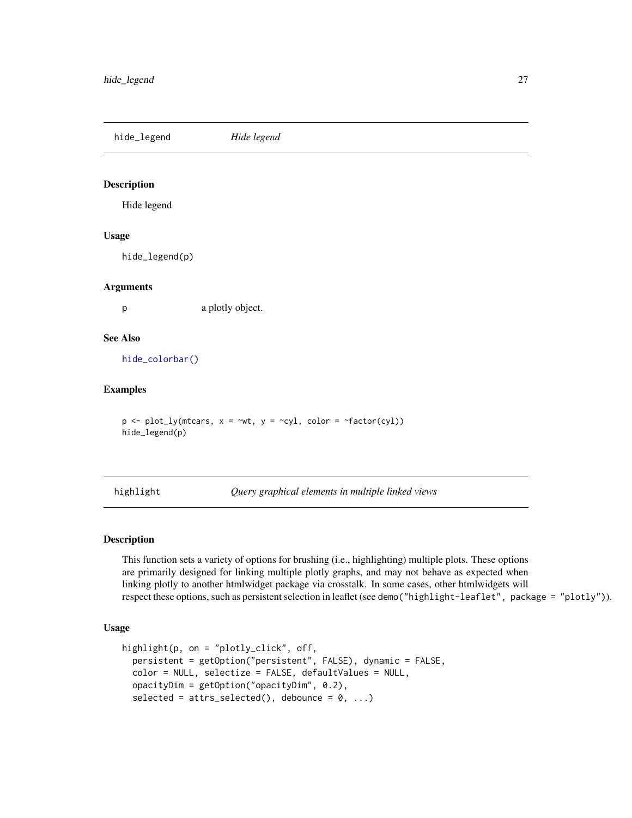<span id="page-26-1"></span><span id="page-26-0"></span>hide\_legend *Hide legend*

#### Description

Hide legend

#### Usage

hide\_legend(p)

#### Arguments

p a plotly object.

#### See Also

[hide\\_colorbar\(\)](#page-25-1)

#### Examples

 $p \leftarrow plot_{ly(mtcars, x = \sim wt, y = \sim cy1, color = \sim factor(cyl))$ hide\_legend(p)

<span id="page-26-2"></span>highlight *Query graphical elements in multiple linked views*

#### Description

This function sets a variety of options for brushing (i.e., highlighting) multiple plots. These options are primarily designed for linking multiple plotly graphs, and may not behave as expected when linking plotly to another htmlwidget package via crosstalk. In some cases, other htmlwidgets will respect these options, such as persistent selection in leaflet (see demo("highlight-leaflet", package = "plotly")).

#### Usage

```
highlight(p, on = "plotly_click", off,
 persistent = getOption("persistent", FALSE), dynamic = FALSE,
 color = NULL, selectize = FALSE, defaultValues = NULL,
 opacityDim = getOption("opacityDim", 0.2),
  selected = attrs_selected(), debounce = 0, ...)
```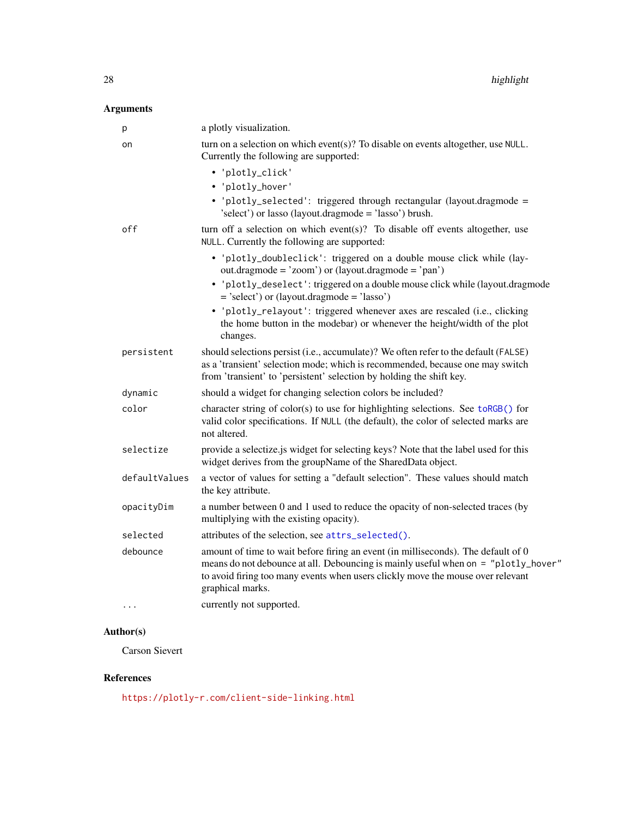### <span id="page-27-0"></span>Arguments

| р             | a plotly visualization.                                                                                                                                                                                                                                                        |
|---------------|--------------------------------------------------------------------------------------------------------------------------------------------------------------------------------------------------------------------------------------------------------------------------------|
| on            | turn on a selection on which event(s)? To disable on events altogether, use $NULL$ .<br>Currently the following are supported:                                                                                                                                                 |
|               | • 'plotly_click'                                                                                                                                                                                                                                                               |
|               | • 'plotly_hover'                                                                                                                                                                                                                                                               |
|               | • 'plotly_selected': triggered through rectangular (layout.dragmode =<br>'select') or lasso (layout.dragmode = 'lasso') brush.                                                                                                                                                 |
| off           | turn off a selection on which event(s)? To disable off events altogether, use<br>NULL. Currently the following are supported:                                                                                                                                                  |
|               | • 'plotly_doubleclick': triggered on a double mouse click while (lay-<br>out.dragmode = 'zoom') or $(layout.dragmode = 'pan')$                                                                                                                                                 |
|               | • 'plotly_deselect': triggered on a double mouse click while (layout.dragmode<br>$=$ 'select') or (layout.dragmode $=$ 'lasso')                                                                                                                                                |
|               | · 'plotly_relayout': triggered whenever axes are rescaled (i.e., clicking<br>the home button in the modebar) or whenever the height/width of the plot<br>changes.                                                                                                              |
| persistent    | should selections persist (i.e., accumulate)? We often refer to the default (FALSE)<br>as a 'transient' selection mode; which is recommended, because one may switch<br>from 'transient' to 'persistent' selection by holding the shift key.                                   |
| dynamic       | should a widget for changing selection colors be included?                                                                                                                                                                                                                     |
| color         | character string of $color(s)$ to use for highlighting selections. See $toRGE()$ for<br>valid color specifications. If NULL (the default), the color of selected marks are<br>not altered.                                                                                     |
| selectize     | provide a selectize.js widget for selecting keys? Note that the label used for this<br>widget derives from the groupName of the SharedData object.                                                                                                                             |
| defaultValues | a vector of values for setting a "default selection". These values should match<br>the key attribute.                                                                                                                                                                          |
| opacityDim    | a number between 0 and 1 used to reduce the opacity of non-selected traces (by<br>multiplying with the existing opacity).                                                                                                                                                      |
| selected      | attributes of the selection, see attrs_selected().                                                                                                                                                                                                                             |
| debounce      | amount of time to wait before firing an event (in milliseconds). The default of 0<br>means do not debounce at all. Debouncing is mainly useful when on = "plotly_hover"<br>to avoid firing too many events when users clickly move the mouse over relevant<br>graphical marks. |
| $\cdots$      | currently not supported.                                                                                                                                                                                                                                                       |
|               |                                                                                                                                                                                                                                                                                |

### Author(s)

Carson Sievert

### References

<https://plotly-r.com/client-side-linking.html>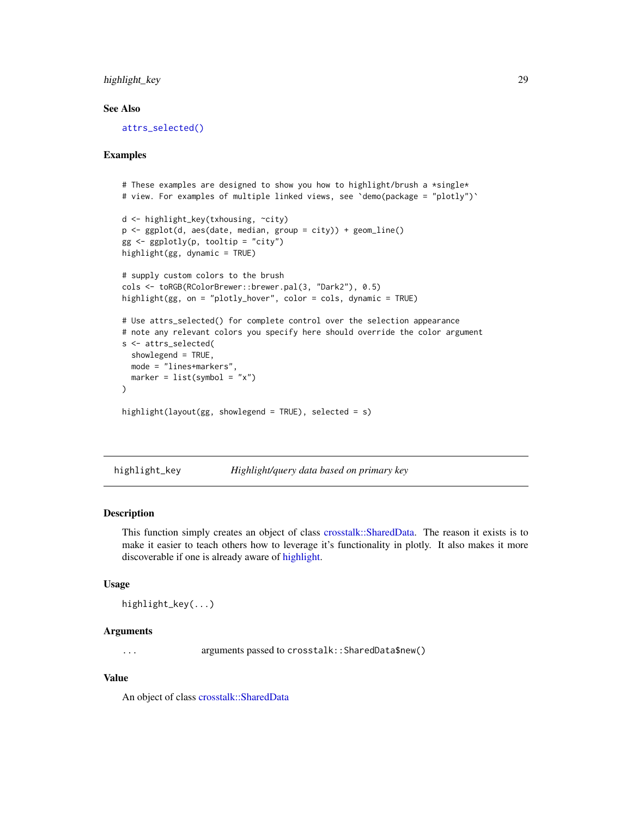### <span id="page-28-0"></span>highlight\_key 29

#### See Also

[attrs\\_selected\(\)](#page-13-1)

#### Examples

```
# These examples are designed to show you how to highlight/brush a \starsingle\star# view. For examples of multiple linked views, see `demo(package = "plotly")`
d <- highlight_key(txhousing, ~city)
p \leftarrow \text{ggplot}(d, \text{aes}(date, \text{median}, \text{group} = city)) + \text{geom\_line}()gg \leftarrow ggplotly(p, tooltip = "city")highlight(gg, dynamic = TRUE)
# supply custom colors to the brush
cols <- toRGB(RColorBrewer::brewer.pal(3, "Dark2"), 0.5)
highlight(gg, on = "plotly_hover", color = cols, dynamic = TRUE)
# Use attrs_selected() for complete control over the selection appearance
# note any relevant colors you specify here should override the color argument
s <- attrs_selected(
  showlegend = TRUE,
  mode = "lines+markers",
  marker = list(symbol = "x"))
highlight(layout(gg, showlegend = TRUE), selected = s)
```
highlight\_key *Highlight/query data based on primary key*

#### Description

This function simply creates an object of class [crosstalk::SharedData.](#page-0-0) The reason it exists is to make it easier to teach others how to leverage it's functionality in plotly. It also makes it more discoverable if one is already aware of [highlight.](#page-26-2)

#### Usage

```
highlight_key(...)
```
### Arguments

... arguments passed to crosstalk::SharedData\$new()

#### Value

An object of class [crosstalk::SharedData](#page-0-0)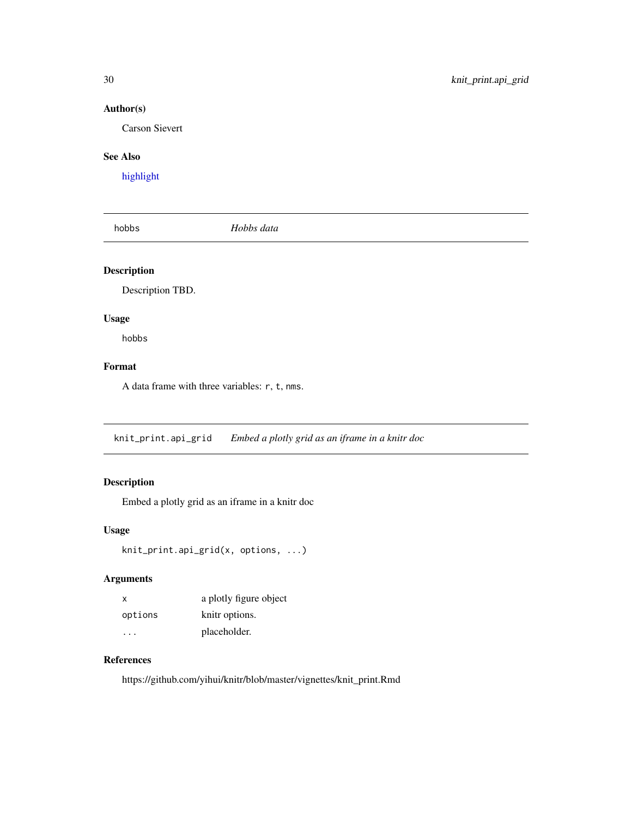### <span id="page-29-0"></span>Author(s)

Carson Sievert

### See Also

[highlight](#page-26-2)

hobbs *Hobbs data*

### Description

Description TBD.

### Usage

hobbs

### Format

A data frame with three variables: r, t, nms.

knit\_print.api\_grid *Embed a plotly grid as an iframe in a knitr doc*

### Description

Embed a plotly grid as an iframe in a knitr doc

#### Usage

```
knit_print.api_grid(x, options, ...)
```
### Arguments

| X       | a plotly figure object |
|---------|------------------------|
| options | knitr options.         |
| .       | placeholder.           |

### References

https://github.com/yihui/knitr/blob/master/vignettes/knit\_print.Rmd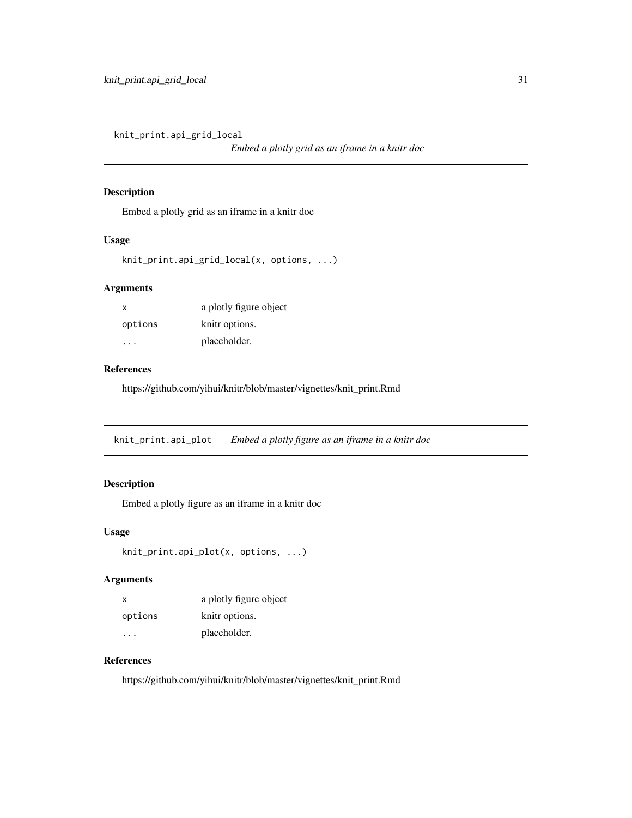<span id="page-30-0"></span>knit\_print.api\_grid\_local

*Embed a plotly grid as an iframe in a knitr doc*

#### Description

Embed a plotly grid as an iframe in a knitr doc

#### Usage

```
knit_print.api_grid_local(x, options, ...)
```
### Arguments

| x       | a plotly figure object |
|---------|------------------------|
| options | knitr options.         |
|         | placeholder.           |

### References

https://github.com/yihui/knitr/blob/master/vignettes/knit\_print.Rmd

knit\_print.api\_plot *Embed a plotly figure as an iframe in a knitr doc*

### Description

Embed a plotly figure as an iframe in a knitr doc

#### Usage

```
knit_print.api_plot(x, options, ...)
```
### Arguments

| x       | a plotly figure object |
|---------|------------------------|
| options | knitr options.         |
|         | placeholder.           |

### References

https://github.com/yihui/knitr/blob/master/vignettes/knit\_print.Rmd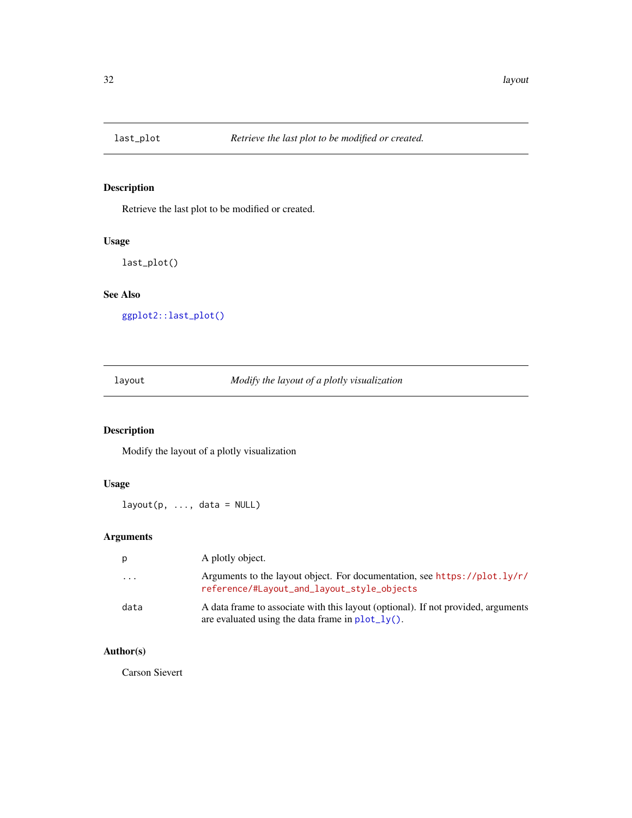<span id="page-31-0"></span>

Retrieve the last plot to be modified or created.

### Usage

last\_plot()

### See Also

[ggplot2::last\\_plot\(\)](#page-0-0)

<span id="page-31-1"></span>layout *Modify the layout of a plotly visualization*

### Description

Modify the layout of a plotly visualization

### Usage

 $l$ ayout(p, ..., data = NULL)

### Arguments

| p                       | A plotly object.                                                                                                                                  |
|-------------------------|---------------------------------------------------------------------------------------------------------------------------------------------------|
| $\cdot$ $\cdot$ $\cdot$ | Arguments to the layout object. For documentation, see https://plot.ly/r/<br>reference/#Layout_and_layout_style_objects                           |
| data                    | A data frame to associate with this layout (optional). If not provided, arguments<br>are evaluated using the data frame in $plot_l\mathbf{v}()$ . |

### Author(s)

Carson Sievert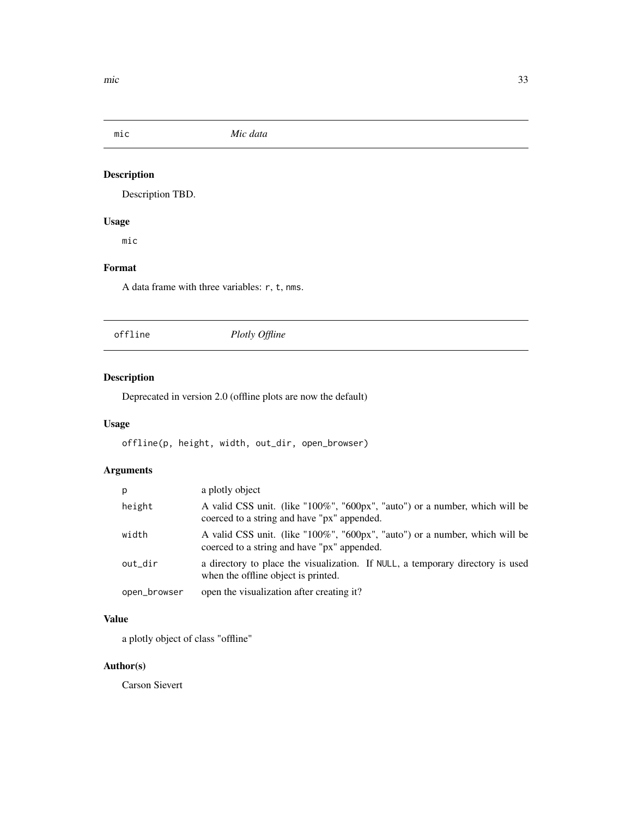<span id="page-32-0"></span>mic *Mic data*

### Description

Description TBD.

### Usage

mic

### Format

A data frame with three variables: r, t, nms.

offline *Plotly Offline*

### Description

Deprecated in version 2.0 (offline plots are now the default)

### Usage

offline(p, height, width, out\_dir, open\_browser)

### Arguments

| р            | a plotly object                                                                                                            |
|--------------|----------------------------------------------------------------------------------------------------------------------------|
| height       | A valid CSS unit. (like "100%", "600px", "auto") or a number, which will be<br>coerced to a string and have "px" appended. |
| width        | A valid CSS unit. (like "100%", "600px", "auto") or a number, which will be<br>coerced to a string and have "px" appended. |
| out_dir      | a directory to place the visualization. If NULL, a temporary directory is used<br>when the offline object is printed.      |
| open_browser | open the visualization after creating it?                                                                                  |

### Value

a plotly object of class "offline"

### Author(s)

Carson Sievert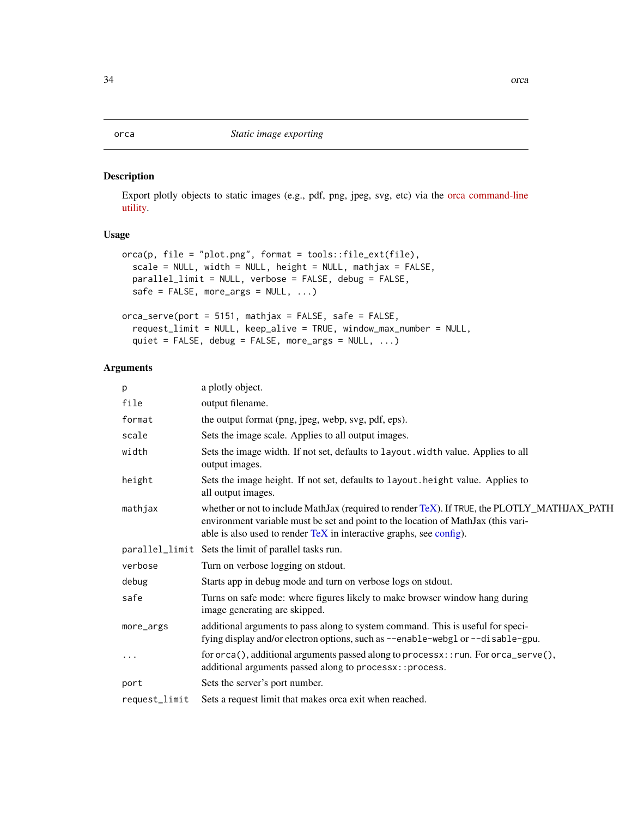<span id="page-33-1"></span><span id="page-33-0"></span>Export plotly objects to static images (e.g., pdf, png, jpeg, svg, etc) via the [orca command-line](https://github.com/plotly/orca#installation) [utility.](https://github.com/plotly/orca#installation)

#### Usage

```
orca(p, file = "plot.png", format = tools::file_ext(file),
  scale = NULL, width = NULL, height = NULL, mathjax = FALSE,
 parallel_limit = NULL, verbose = FALSE, debug = FALSE,
  safe = FALSE, more_{args} = NULL, ...)orca_serve(port = 5151, mathjax = FALSE, safe = FALSE,
  request_limit = NULL, keep_alive = TRUE, window_max_number = NULL,
  quiet = FALSE, debug = FALSE, more_args = NULL, ...)
```

| p             | a plotly object.                                                                                                                                                                                                                                              |
|---------------|---------------------------------------------------------------------------------------------------------------------------------------------------------------------------------------------------------------------------------------------------------------|
| file          | output filename.                                                                                                                                                                                                                                              |
| format        | the output format (png, jpeg, webp, svg, pdf, eps).                                                                                                                                                                                                           |
| scale         | Sets the image scale. Applies to all output images.                                                                                                                                                                                                           |
| width         | Sets the image width. If not set, defaults to layout width value. Applies to all<br>output images.                                                                                                                                                            |
| height        | Sets the image height. If not set, defaults to layout . height value. Applies to<br>all output images.                                                                                                                                                        |
| mathjax       | whether or not to include MathJax (required to render TeX). If TRUE, the PLOTLY_MATHJAX_PATH<br>environment variable must be set and point to the location of MathJax (this vari-<br>able is also used to render $T\in X$ in interactive graphs, see config). |
|               | parallel_limit Sets the limit of parallel tasks run.                                                                                                                                                                                                          |
| verbose       | Turn on verbose logging on stdout.                                                                                                                                                                                                                            |
| debug         | Starts app in debug mode and turn on verbose logs on stdout.                                                                                                                                                                                                  |
| safe          | Turns on safe mode: where figures likely to make browser window hang during<br>image generating are skipped.                                                                                                                                                  |
| more_args     | additional arguments to pass along to system command. This is useful for speci-<br>fying display and/or electron options, such as --enable-webgl or --disable-gpu.                                                                                            |
| $\cdots$      | for orca(), additional arguments passed along to processx: : run. For orca_serve(),<br>additional arguments passed along to processx:: process.                                                                                                               |
| port          | Sets the server's port number.                                                                                                                                                                                                                                |
| request_limit | Sets a request limit that makes orca exit when reached.                                                                                                                                                                                                       |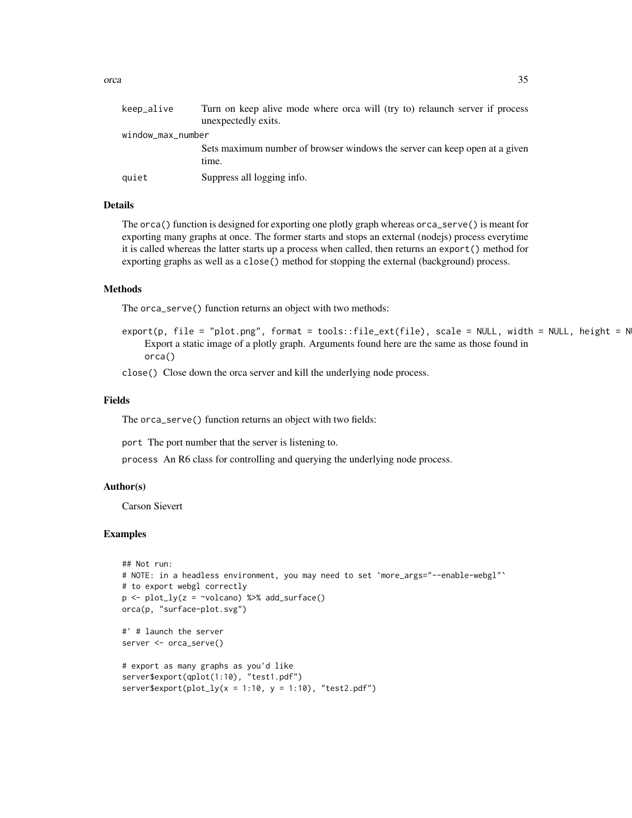| keep_alive        | Turn on keep alive mode where orca will (try to) relaunch server if process<br>unexpectedly exits. |
|-------------------|----------------------------------------------------------------------------------------------------|
| window_max_number |                                                                                                    |
|                   | Sets maximum number of browser windows the server can keep open at a given<br>time.                |
| quiet             | Suppress all logging info.                                                                         |

#### Details

The orca() function is designed for exporting one plotly graph whereas orca\_serve() is meant for exporting many graphs at once. The former starts and stops an external (nodejs) process everytime it is called whereas the latter starts up a process when called, then returns an export() method for exporting graphs as well as a close() method for stopping the external (background) process.

#### Methods

The orca\_serve() function returns an object with two methods:

 $export(p, file = "plot.png", format = tools::file\_ext(file), scale = NULL, width = NULL, height = N$ Export a static image of a plotly graph. Arguments found here are the same as those found in orca()

close() Close down the orca server and kill the underlying node process.

#### Fields

The orca\_serve() function returns an object with two fields:

port The port number that the server is listening to.

process An R6 class for controlling and querying the underlying node process.

#### Author(s)

Carson Sievert

```
## Not run:
# NOTE: in a headless environment, you may need to set `more_args="--enable-webgl"`
# to export webgl correctly
p \leftarrow plot_{ly}(z = \simvolcano) %>% add_surface()
orca(p, "surface-plot.svg")
#' # launch the server
server <- orca_serve()
# export as many graphs as you'd like
server$export(qplot(1:10), "test1.pdf")
server$export(plot_ly(x = 1:10, y = 1:10), "test2.pdf")
```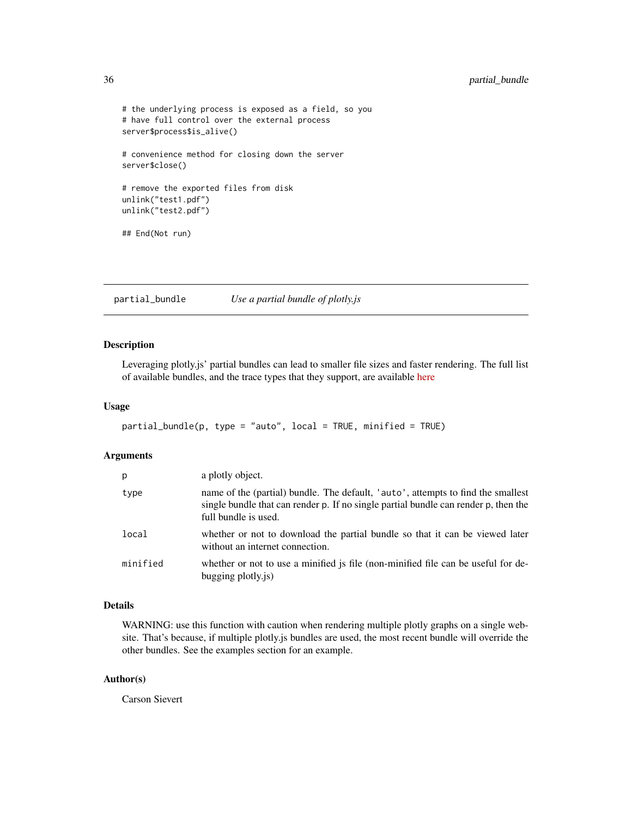```
# the underlying process is exposed as a field, so you
# have full control over the external process
server$process$is_alive()
# convenience method for closing down the server
server$close()
# remove the exported files from disk
unlink("test1.pdf")
unlink("test2.pdf")
## End(Not run)
```
partial\_bundle *Use a partial bundle of plotly.js*

#### Description

Leveraging plotly.js' partial bundles can lead to smaller file sizes and faster rendering. The full list of available bundles, and the trace types that they support, are available [here](https://github.com/plotly/plotly.js/blob/master/dist/README.md#partial-bundles)

#### Usage

```
partial_bundle(p, type = "auto", local = TRUE, minified = TRUE)
```
#### Arguments

| p        | a plotly object.                                                                                                                                                                                |
|----------|-------------------------------------------------------------------------------------------------------------------------------------------------------------------------------------------------|
| type     | name of the (partial) bundle. The default, 'auto', attempts to find the smallest<br>single bundle that can render p. If no single partial bundle can render p, then the<br>full bundle is used. |
| local    | whether or not to download the partial bundle so that it can be viewed later<br>without an internet connection.                                                                                 |
| minified | whether or not to use a minified is file (non-minified file can be useful for de-<br>bugging plotly.js)                                                                                         |

#### Details

WARNING: use this function with caution when rendering multiple plotly graphs on a single website. That's because, if multiple plotly.js bundles are used, the most recent bundle will override the other bundles. See the examples section for an example.

#### Author(s)

Carson Sievert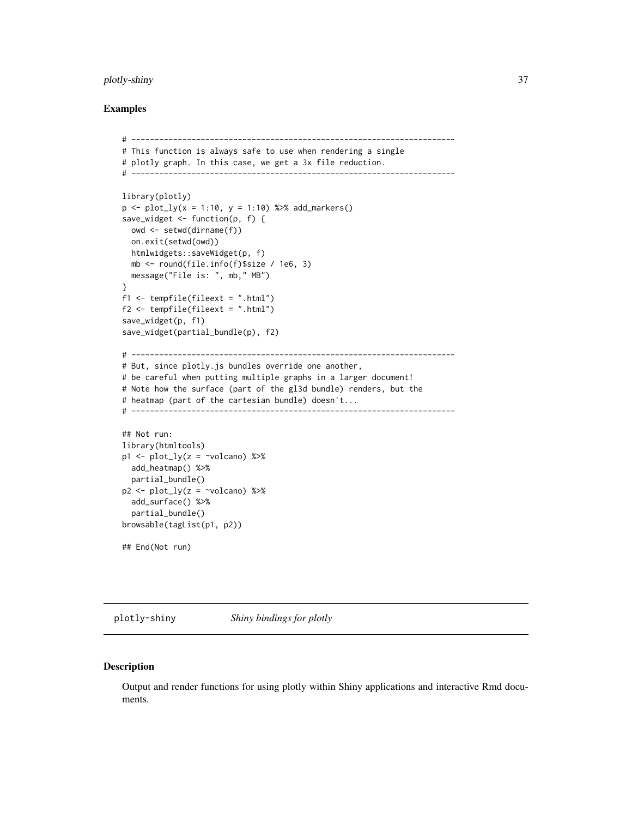#### <span id="page-36-0"></span>plotly-shiny 37

#### Examples

```
# ----------------------------------------------------------------------
# This function is always safe to use when rendering a single
# plotly graph. In this case, we get a 3x file reduction.
# ----------------------------------------------------------------------
library(plotly)
p \leq plot_{1y}(x = 1:10, y = 1:10) %>% add_markers()
save_widget <- function(p, f) {
  owd <- setwd(dirname(f))
  on.exit(setwd(owd))
 htmlwidgets::saveWidget(p, f)
  mb <- round(file.info(f)$size / 1e6, 3)
  message("File is: ", mb," MB")
}
f1 <- tempfile(fileext = ".html")
f2 <- tempfile(fileext = ".html")
save_widget(p, f1)
save_widget(partial_bundle(p), f2)
# ----------------------------------------------------------------------
# But, since plotly.js bundles override one another,
# be careful when putting multiple graphs in a larger document!
# Note how the surface (part of the gl3d bundle) renders, but the
# heatmap (part of the cartesian bundle) doesn't...
# ----------------------------------------------------------------------
## Not run:
library(htmltools)
p1 \leftarrow plot_{ly}(z = \simvolcano) %>%
  add_heatmap() %>%
  partial_bundle()
p2 \leq plot_{ly}(z = \inftyvolcano) %>%
  add_surface() %>%
  partial_bundle()
browsable(tagList(p1, p2))
## End(Not run)
```
plotly-shiny *Shiny bindings for plotly*

#### Description

Output and render functions for using plotly within Shiny applications and interactive Rmd documents.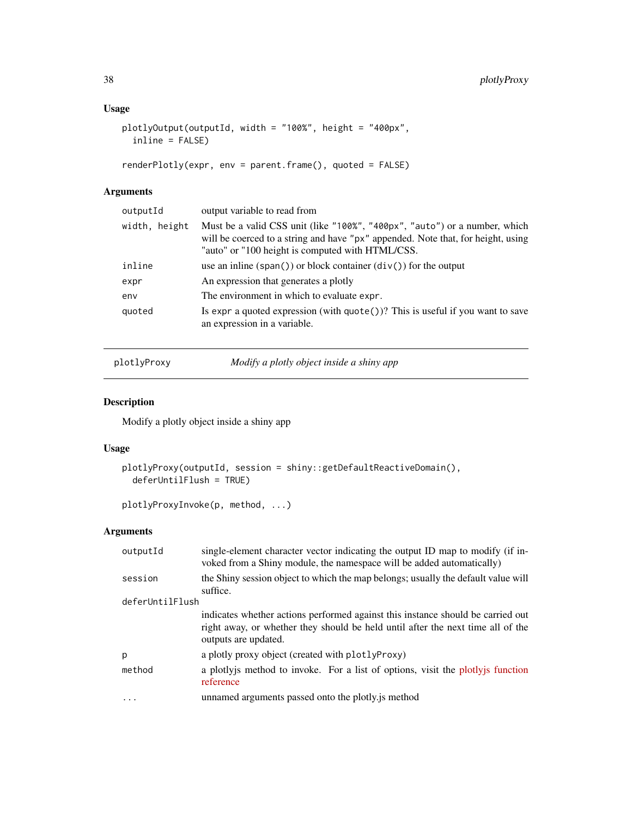### <span id="page-37-0"></span>Usage

```
plotlyOutput(outputId, width = "100%", height = "400px",
  inline = FALSE)
```

```
renderPlotly(expr, env = parent.frame(), quoted = FALSE)
```
### Arguments

| outputId      | output variable to read from                                                                                                                                                                                       |
|---------------|--------------------------------------------------------------------------------------------------------------------------------------------------------------------------------------------------------------------|
| width, height | Must be a valid CSS unit (like "100%", "400px", "auto") or a number, which<br>will be coerced to a string and have "px" appended. Note that, for height, using<br>"auto" or "100 height is computed with HTML/CSS. |
| inline        | use an inline $(\text{span}() )$ or block container $(\text{div}() )$ for the output                                                                                                                               |
| expr          | An expression that generates a plotly                                                                                                                                                                              |
| env           | The environment in which to evaluate expr.                                                                                                                                                                         |
| quoted        | Is expr a quoted expression (with $\text{quote}()$ )? This is useful if you want to save<br>an expression in a variable.                                                                                           |

plotlyProxy *Modify a plotly object inside a shiny app*

### Description

Modify a plotly object inside a shiny app

### Usage

```
plotlyProxy(outputId, session = shiny::getDefaultReactiveDomain(),
 deferUntilFlush = TRUE)
```
plotlyProxyInvoke(p, method, ...)

| outputId        | single-element character vector indicating the output ID map to modify (if in-<br>voked from a Shiny module, the namespace will be added automatically)                                    |  |
|-----------------|--------------------------------------------------------------------------------------------------------------------------------------------------------------------------------------------|--|
| session         | the Shiny session object to which the map belongs; usually the default value will<br>suffice.                                                                                              |  |
| deferUntilFlush |                                                                                                                                                                                            |  |
|                 | indicates whether actions performed against this instance should be carried out<br>right away, or whether they should be held until after the next time all of the<br>outputs are updated. |  |
| p               | a plotly proxy object (created with plotlyProxy)                                                                                                                                           |  |
| method          | a plotlyjs method to invoke. For a list of options, visit the plotlyjs function<br>reference                                                                                               |  |
|                 | unnamed arguments passed onto the plotly is method                                                                                                                                         |  |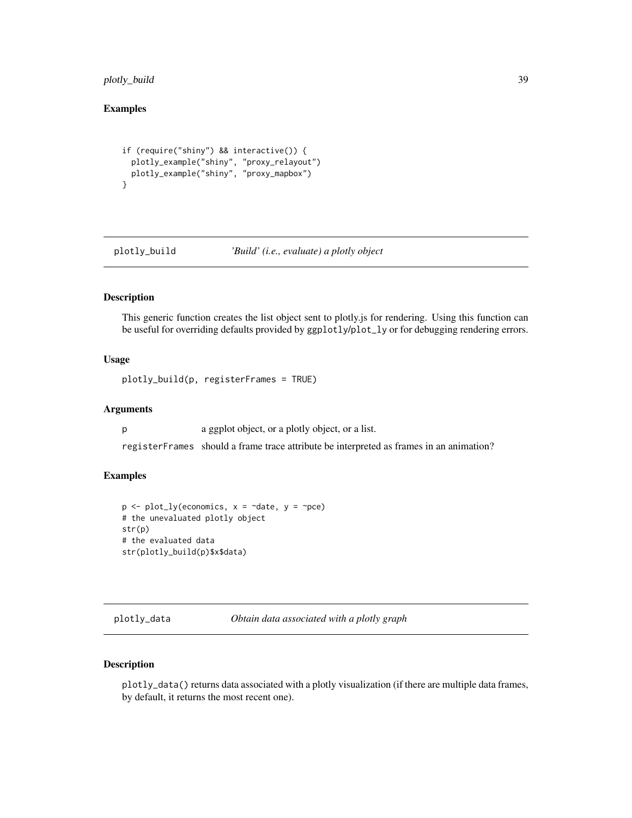### <span id="page-38-0"></span>plotly\_build 39

### Examples

```
if (require("shiny") && interactive()) {
  plotly_example("shiny", "proxy_relayout")
  plotly_example("shiny", "proxy_mapbox")
}
```
plotly\_build *'Build' (i.e., evaluate) a plotly object*

#### Description

This generic function creates the list object sent to plotly.js for rendering. Using this function can be useful for overriding defaults provided by ggplotly/plot\_ly or for debugging rendering errors.

#### Usage

plotly\_build(p, registerFrames = TRUE)

### Arguments

p a ggplot object, or a plotly object, or a list.

registerFrames should a frame trace attribute be interpreted as frames in an animation?

#### Examples

```
p \leftarrow plot_{ly}(economics, x = \neg date, y = \neg pce)# the unevaluated plotly object
str(p)
# the evaluated data
str(plotly_build(p)$x$data)
```
plotly\_data *Obtain data associated with a plotly graph*

#### Description

plotly\_data() returns data associated with a plotly visualization (if there are multiple data frames, by default, it returns the most recent one).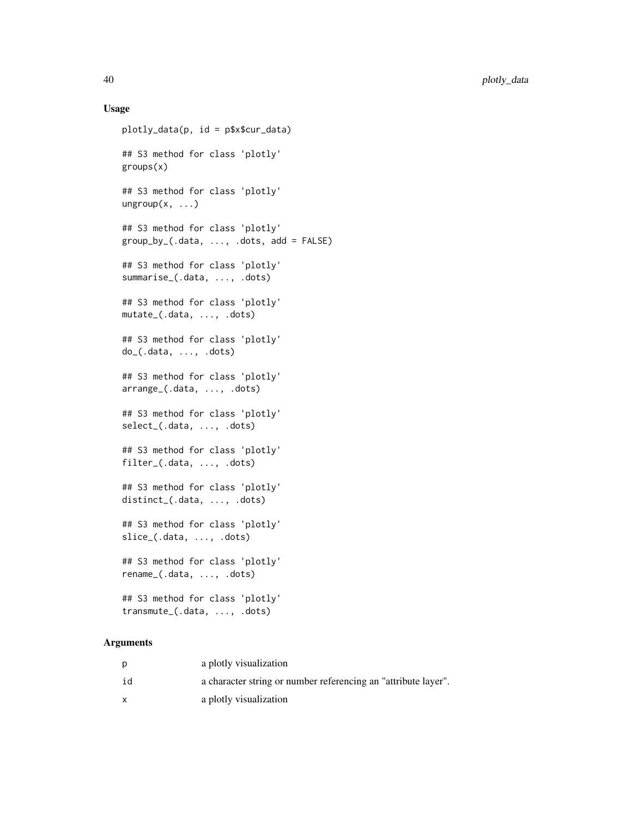#### Usage

```
plotly_data(p, id = p$x$cur_data)
## S3 method for class 'plotly'
groups(x)
## S3 method for class 'plotly'
ungroup(x, ...)## S3 method for class 'plotly'
group_by_(.data, ..., .dots, add = FALSE)
## S3 method for class 'plotly'
summarise_(.data, ..., .dots)
## S3 method for class 'plotly'
mutate_(.data, ..., .dots)
## S3 method for class 'plotly'
do_(.data, ..., .dots)
## S3 method for class 'plotly'
arrange_(.data, ..., .dots)
## S3 method for class 'plotly'
select_(.data, ..., .dots)
## S3 method for class 'plotly'
filter_(.data, ..., .dots)
## S3 method for class 'plotly'
distinct_(.data, ..., .dots)
## S3 method for class 'plotly'
slice_(.data, ..., .dots)
## S3 method for class 'plotly'
rename_(.data, ..., .dots)
## S3 method for class 'plotly'
transmute_(.data, ..., .dots)
```

|    | a plotly visualization                                         |
|----|----------------------------------------------------------------|
| id | a character string or number referencing an "attribute layer". |
|    | a plotly visualization                                         |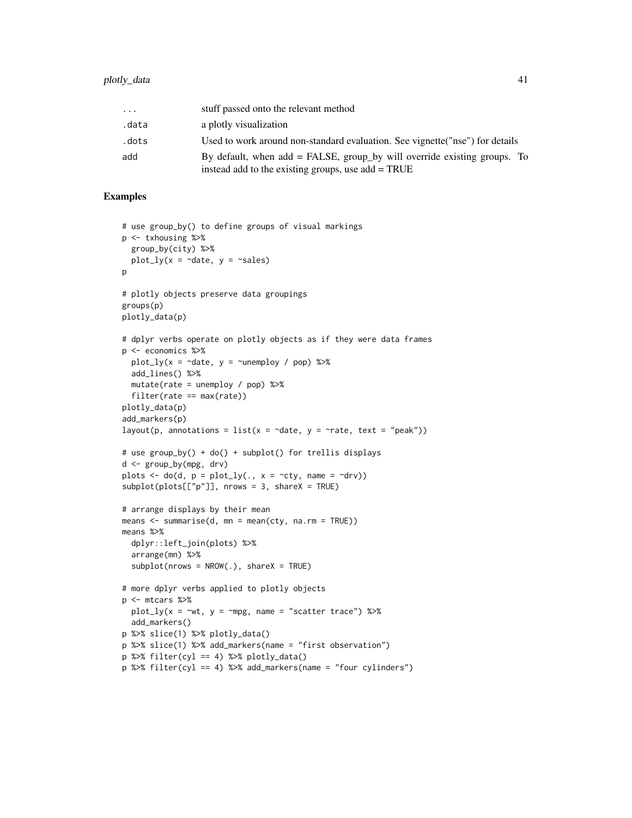| .     | stuff passed onto the relevant method                                                                                               |
|-------|-------------------------------------------------------------------------------------------------------------------------------------|
| .data | a plotly visualization                                                                                                              |
| .dots | Used to work around non-standard evaluation. See vignette ("nse") for details                                                       |
| add   | By default, when $add = FALSE$ , group by will override existing groups. To<br>instead add to the existing groups, use $add = TRUE$ |

```
# use group_by() to define groups of visual markings
p <- txhousing %>%
 group_by(city) %>%
 plot_{1}y(x = \text{ }^{\sim}date, y = \text{ }^{\sim}sales)
p
# plotly objects preserve data groupings
groups(p)
plotly_data(p)
# dplyr verbs operate on plotly objects as if they were data frames
p <- economics %>%
  plot_ly(x = \simdate, y = \simunemploy / pop) %>%
  add_lines() %>%
 mutate(rate = unemploy / pop) %>%
  filter(rate == max(rate))
plotly_data(p)
add_markers(p)
layout(p, annotations = list(x = \simdate, y = \simrate, text = "peak"))
# use group_by() + do() + subplot() for trellis displays
d <- group_by(mpg, drv)
plots \leq do(d, p = plot_ly(., x = \simcty, name = \simdrv))
subplot(plots[["p"]], nrows = 3, shareX = TRUE)
# arrange displays by their mean
means \leq summarise(d, mn = mean(cty, na.rm = TRUE))
means %>%
  dplyr::left_join(plots) %>%
  arrange(mn) %>%
  subplot(nrows = NROW(.), shareX = TRUE)# more dplyr verbs applied to plotly objects
p <- mtcars %>%
  plot_{1}y(x = \gamma w t, y = \gamma mpg, name = "scatter trace") %>%
  add_markers()
p %>% slice(1) %>% plotly_data()
p %>% slice(1) %>% add_markers(name = "first observation")
p %\gg filter(cyl == 4) %\gg plotly_data()
p %>% filter(cyl == 4) %>% add_markers(name = "four cylinders")
```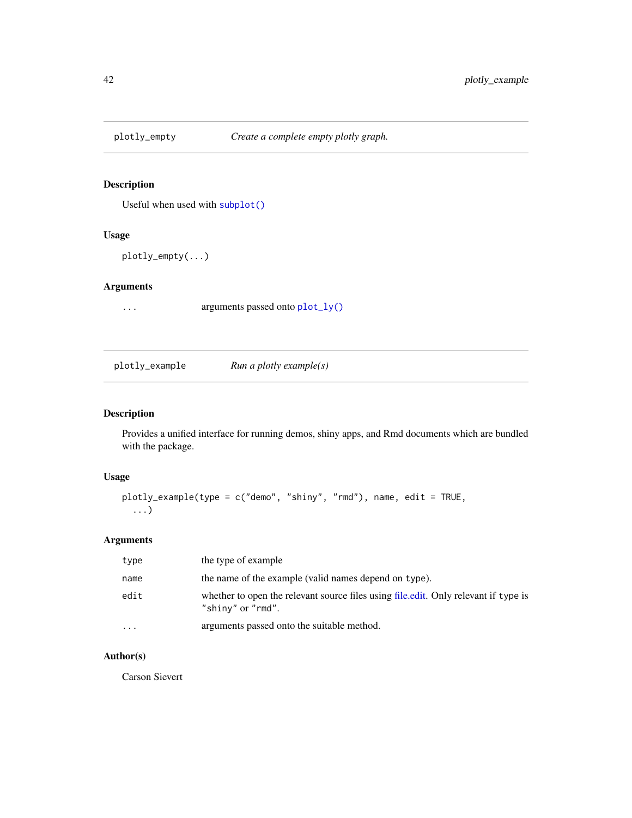<span id="page-41-0"></span>

Useful when used with [subplot\(\)](#page-58-1)

#### Usage

plotly\_empty(...)

### Arguments

... arguments passed onto [plot\\_ly\(\)](#page-46-1)

plotly\_example *Run a plotly example(s)*

### Description

Provides a unified interface for running demos, shiny apps, and Rmd documents which are bundled with the package.

#### Usage

```
plotly_example(type = c("demo", "shiny", "rmd"), name, edit = TRUE,
  ...)
```
#### Arguments

| type     | the type of example                                                                                      |
|----------|----------------------------------------------------------------------------------------------------------|
| name     | the name of the example (valid names depend on type).                                                    |
| edit     | whether to open the relevant source files using file edit. Only relevant if type is<br>"shiny" or "rmd". |
| $\cdots$ | arguments passed onto the suitable method.                                                               |

### Author(s)

Carson Sievert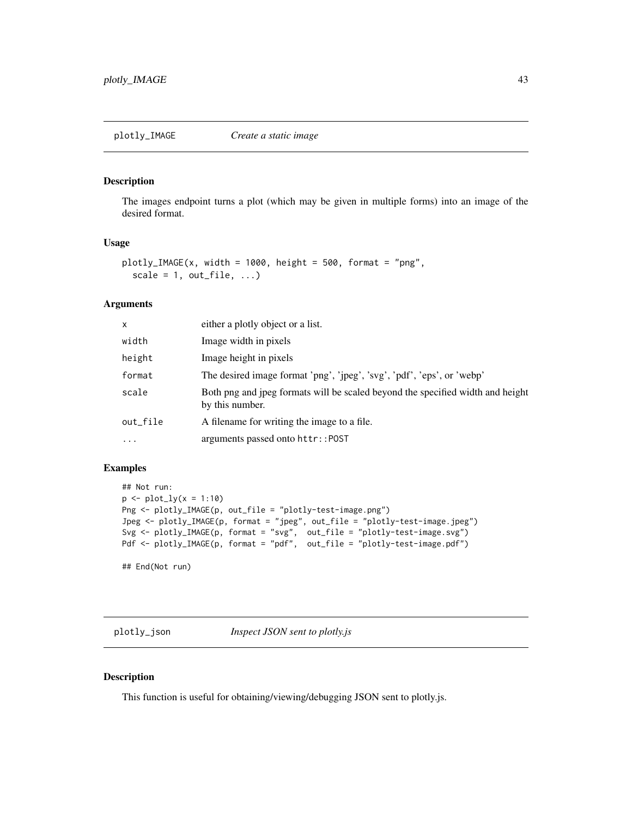<span id="page-42-0"></span>The images endpoint turns a plot (which may be given in multiple forms) into an image of the desired format.

### Usage

```
plotly_IMAGE(x, width = 1000, height = 500, format = "png",scale = 1, out_file, ...)
```
#### Arguments

| x         | either a plotly object or a list.                                                                 |
|-----------|---------------------------------------------------------------------------------------------------|
| width     | Image width in pixels                                                                             |
| height    | Image height in pixels                                                                            |
| format    | The desired image format 'png', 'jpeg', 'svg', 'pdf', 'eps', or 'webp'                            |
| scale     | Both png and jpeg formats will be scaled beyond the specified width and height<br>by this number. |
| out_file  | A filename for writing the image to a file.                                                       |
| $\ddotsc$ | arguments passed onto httr::POST                                                                  |

### Examples

```
## Not run:
p \leftarrow plot_{1}y(x = 1:10)Png <- plotly_IMAGE(p, out_file = "plotly-test-image.png")
Jpeg <- plotly_IMAGE(p, format = "jpeg", out_file = "plotly-test-image.jpeg")
Svg <- plotly_IMAGE(p, format = "svg", out_file = "plotly-test-image.svg")
Pdf <- plotly_IMAGE(p, format = "pdf", out_file = "plotly-test-image.pdf")
```
## End(Not run)

<span id="page-42-1"></span>plotly\_json *Inspect JSON sent to plotly.js*

#### Description

This function is useful for obtaining/viewing/debugging JSON sent to plotly.js.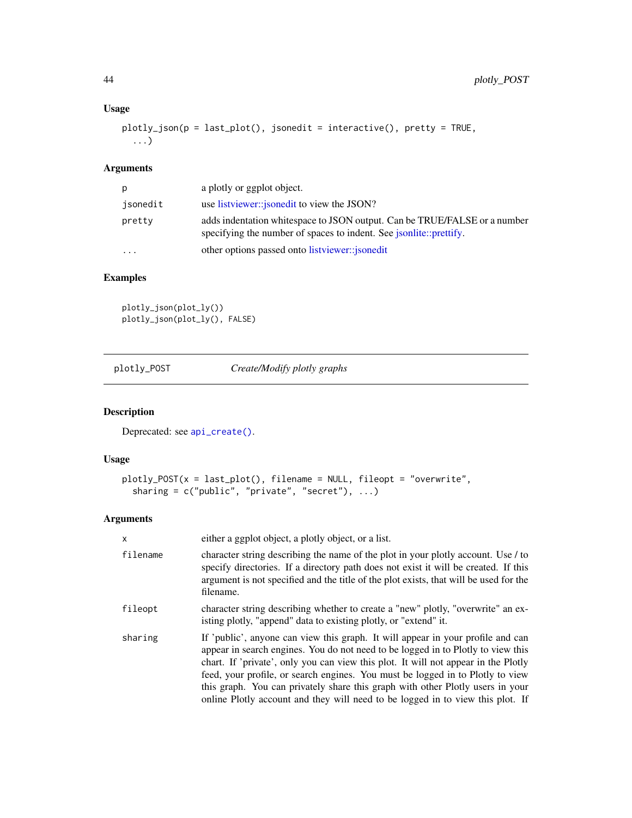### Usage

```
plotly_json(p = last_plot(), jsonedit = interactive(), pretty = TRUE,
 ...)
```
### Arguments

| р         | a plotly or ggplot object.                                                                                                                             |
|-----------|--------------------------------------------------------------------------------------------------------------------------------------------------------|
| jsonedit  | use listviewer:: <i>jsonedit</i> to view the JSON?                                                                                                     |
| pretty    | adds indentation whitespace to JSON output. Can be TRUE/FALSE or a number<br>specifying the number of spaces to indent. See <i>isonite::prettify</i> . |
| $\ddotsc$ | other options passed onto listviewer:: <i>jsonedit</i>                                                                                                 |
|           |                                                                                                                                                        |

### Examples

plotly\_json(plot\_ly()) plotly\_json(plot\_ly(), FALSE)

plotly\_POST *Create/Modify plotly graphs*

### Description

Deprecated: see [api\\_create\(\)](#page-10-2).

### Usage

```
plotly_POST(x = last_plot(), filename = NULL, fileopt = "overwrite",sharing = c("public", "private", "secret"), ...)
```

| x        | either a ggplot object, a plotly object, or a list.                                                                                                                                                                                                                                                                                                                                                                                                                                                             |
|----------|-----------------------------------------------------------------------------------------------------------------------------------------------------------------------------------------------------------------------------------------------------------------------------------------------------------------------------------------------------------------------------------------------------------------------------------------------------------------------------------------------------------------|
| filename | character string describing the name of the plot in your plotly account. Use / to<br>specify directories. If a directory path does not exist it will be created. If this<br>argument is not specified and the title of the plot exists, that will be used for the<br>filename.                                                                                                                                                                                                                                  |
| fileopt  | character string describing whether to create a "new" plotly, "overwrite" an ex-<br>isting plotly, "append" data to existing plotly, or "extend" it.                                                                                                                                                                                                                                                                                                                                                            |
| sharing  | If 'public', anyone can view this graph. It will appear in your profile and can<br>appear in search engines. You do not need to be logged in to Plotly to view this<br>chart. If 'private', only you can view this plot. It will not appear in the Plotly<br>feed, your profile, or search engines. You must be logged in to Plotly to view<br>this graph. You can privately share this graph with other Plotly users in your<br>online Plotly account and they will need to be logged in to view this plot. If |

<span id="page-43-0"></span>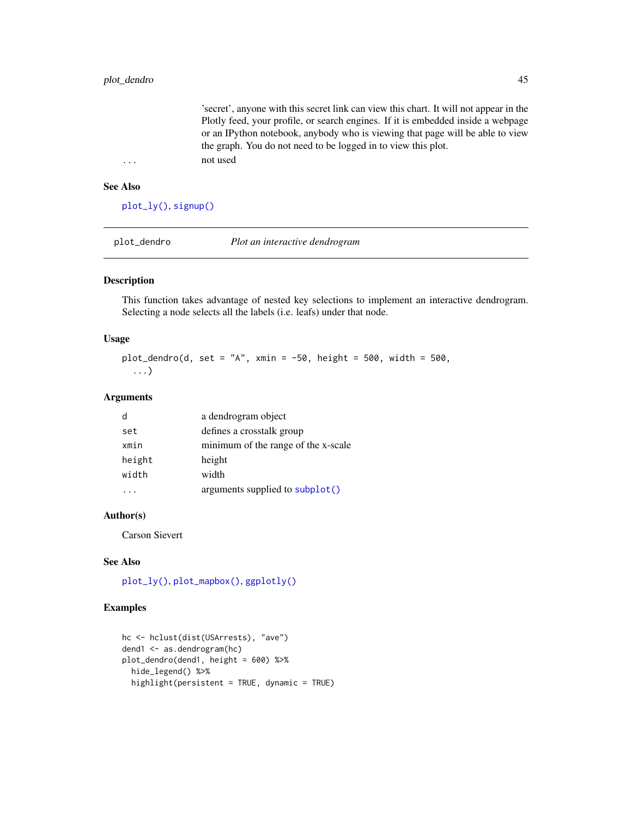<span id="page-44-0"></span>'secret', anyone with this secret link can view this chart. It will not appear in the Plotly feed, your profile, or search engines. If it is embedded inside a webpage or an IPython notebook, anybody who is viewing that page will be able to view the graph. You do not need to be logged in to view this plot. ... not used

#### See Also

[plot\\_ly\(\)](#page-46-1), [signup\(\)](#page-56-1)

plot\_dendro *Plot an interactive dendrogram*

#### Description

This function takes advantage of nested key selections to implement an interactive dendrogram. Selecting a node selects all the labels (i.e. leafs) under that node.

#### Usage

plot\_dendro(d, set = "A", xmin =  $-50$ , height =  $500$ , width =  $500$ , ...)

#### Arguments

| d      | a dendrogram object                 |
|--------|-------------------------------------|
| set    | defines a crosstalk group           |
| xmin   | minimum of the range of the x-scale |
| height | height                              |
| width  | width                               |
|        | arguments supplied to subplot()     |

#### Author(s)

Carson Sievert

#### See Also

[plot\\_ly\(\)](#page-46-1), [plot\\_mapbox\(\)](#page-49-1), [ggplotly\(\)](#page-22-1)

```
hc <- hclust(dist(USArrests), "ave")
dend1 <- as.dendrogram(hc)
plot_dendro(dend1, height = 600) %>%
  hide_legend() %>%
  highlight(persistent = TRUE, dynamic = TRUE)
```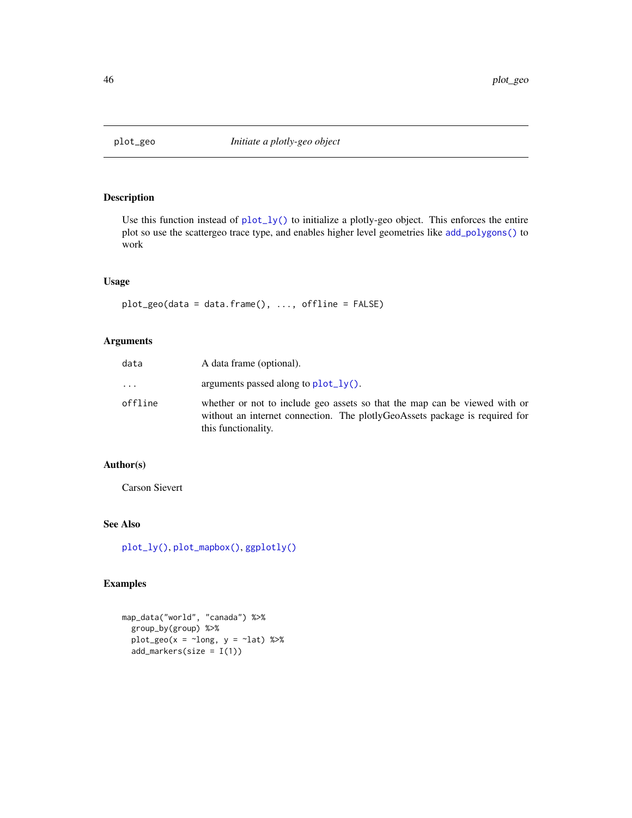<span id="page-45-1"></span><span id="page-45-0"></span>

Use this function instead of [plot\\_ly\(\)](#page-46-1) to initialize a plotly-geo object. This enforces the entire plot so use the scattergeo trace type, and enables higher level geometries like [add\\_polygons\(\)](#page-4-1) to work

#### Usage

plot\_geo(data = data.frame(), ..., offline = FALSE)

#### Arguments

| data     | A data frame (optional).                                                                                                                                                         |
|----------|----------------------------------------------------------------------------------------------------------------------------------------------------------------------------------|
| $\ddots$ | arguments passed along to $plot_l(y)$ .                                                                                                                                          |
| offline  | whether or not to include geo assets so that the map can be viewed with or<br>without an internet connection. The plotlyGeoAssets package is required for<br>this functionality. |

#### Author(s)

Carson Sievert

#### See Also

[plot\\_ly\(\)](#page-46-1), [plot\\_mapbox\(\)](#page-49-1), [ggplotly\(\)](#page-22-1)

```
map_data("world", "canada") %>%
 group_by(group) %>%
 plot\_geo(x = ~100, y = ~100) %>%
 add_markers(size = I(1))
```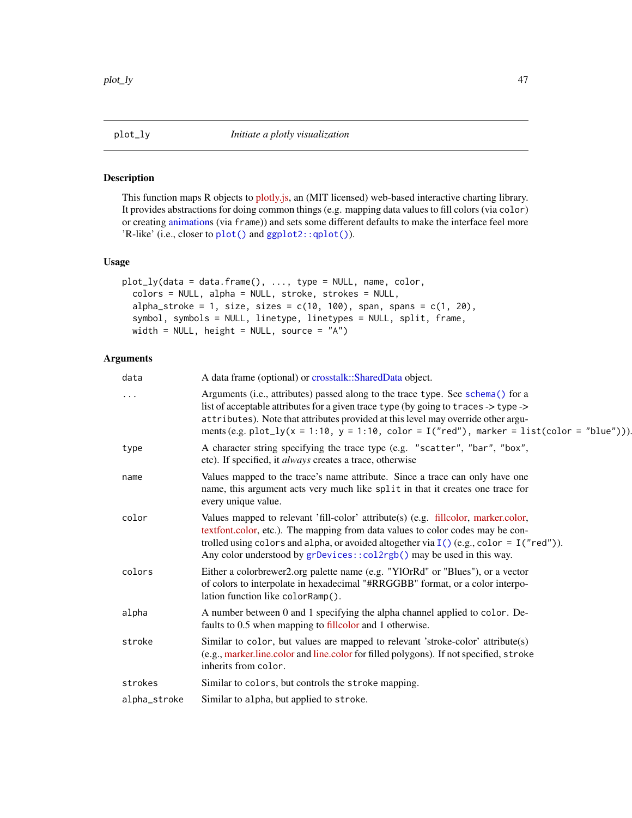<span id="page-46-1"></span><span id="page-46-0"></span>

This function maps R objects to [plotly.js,](https://plot.ly/javascript/) an (MIT licensed) web-based interactive charting library. It provides abstractions for doing common things (e.g. mapping data values to fill colors (via color) or creating [animations](#page-8-2) (via frame)) and sets some different defaults to make the interface feel more 'R-like' (i.e., closer to [plot\(\)](#page-0-0) and [ggplot2::qplot\(\)](#page-0-0)).

### Usage

```
plot_ly(data = data.frame(), ..., type = NULL, name, color,
  colors = NULL, alpha = NULL, stroke, strokes = NULL,
  alpha_stroke = 1, size, sizes = c(10, 100), span, spans = c(1, 20),
  symbol, symbols = NULL, linetype, linetypes = NULL, split, frame,
 width = NULL, height = NULL, source = 'A'')
```

| data         | A data frame (optional) or crosstalk::SharedData object.                                                                                                                                                                                                                                                                                                  |
|--------------|-----------------------------------------------------------------------------------------------------------------------------------------------------------------------------------------------------------------------------------------------------------------------------------------------------------------------------------------------------------|
| .            | Arguments (i.e., attributes) passed along to the trace type. See schema() for a<br>list of acceptable attributes for a given trace type (by going to traces -> type -><br>attributes). Note that attributes provided at this level may override other argu-<br>ments (e.g. plot_ly(x = 1:10, y = 1:10, color = I("red"), marker = list(color = "blue"))). |
| type         | A character string specifying the trace type (e.g. "scatter", "bar", "box",<br>etc). If specified, it <i>always</i> creates a trace, otherwise                                                                                                                                                                                                            |
| name         | Values mapped to the trace's name attribute. Since a trace can only have one<br>name, this argument acts very much like split in that it creates one trace for<br>every unique value.                                                                                                                                                                     |
| color        | Values mapped to relevant 'fill-color' attribute(s) (e.g. fillcolor, marker.color,<br>textfont.color, etc.). The mapping from data values to color codes may be con-<br>trolled using colors and alpha, or avoided altogether via $I()$ (e.g., color = $I('red'')$ ).<br>Any color understood by grDevices::col2rgb() may be used in this way.            |
| colors       | Either a colorbrewer2.org palette name (e.g. "YlOrRd" or "Blues"), or a vector<br>of colors to interpolate in hexadecimal "#RRGGBB" format, or a color interpo-<br>lation function like colorRamp().                                                                                                                                                      |
| alpha        | A number between 0 and 1 specifying the alpha channel applied to color. De-<br>faults to 0.5 when mapping to fillcolor and 1 otherwise.                                                                                                                                                                                                                   |
| stroke       | Similar to color, but values are mapped to relevant 'stroke-color' attribute(s)<br>(e.g., marker.line.color and line.color for filled polygons). If not specified, stroke<br>inherits from color.                                                                                                                                                         |
| strokes      | Similar to colors, but controls the stroke mapping.                                                                                                                                                                                                                                                                                                       |
| alpha_stroke | Similar to alpha, but applied to stroke.                                                                                                                                                                                                                                                                                                                  |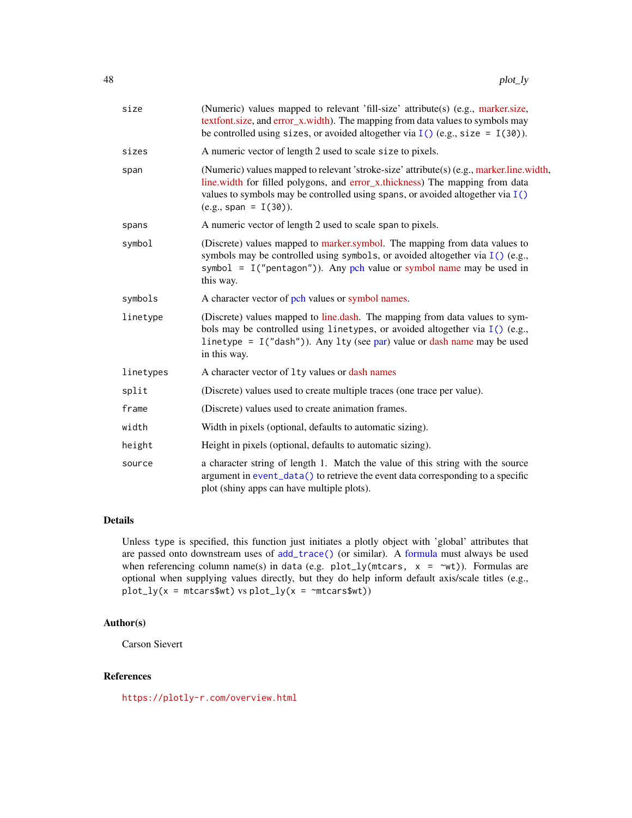<span id="page-47-0"></span>

| size      | (Numeric) values mapped to relevant 'fill-size' attribute(s) (e.g., marker.size,<br>textfont.size, and error_x.width). The mapping from data values to symbols may<br>be controlled using sizes, or avoided altogether via $I()$ (e.g., size = $I(30)$ ).                               |
|-----------|-----------------------------------------------------------------------------------------------------------------------------------------------------------------------------------------------------------------------------------------------------------------------------------------|
| sizes     | A numeric vector of length 2 used to scale size to pixels.                                                                                                                                                                                                                              |
| span      | (Numeric) values mapped to relevant 'stroke-size' attribute(s) (e.g., marker.line.width,<br>line.width for filled polygons, and error_x.thickness) The mapping from data<br>values to symbols may be controlled using spans, or avoided altogether via $I()$<br>$(e.g., span = I(30)).$ |
| spans     | A numeric vector of length 2 used to scale span to pixels.                                                                                                                                                                                                                              |
| symbol    | (Discrete) values mapped to marker, symbol. The mapping from data values to<br>symbols may be controlled using symbols, or avoided altogether via $I()$ (e.g.,<br>symbol = $I("pentagon"))$ . Any pch value or symbol name may be used in<br>this way.                                  |
| symbols   | A character vector of pch values or symbol names.                                                                                                                                                                                                                                       |
| linetype  | (Discrete) values mapped to line.dash. The mapping from data values to sym-<br>bols may be controlled using linetypes, or avoided altogether via $I()$ (e.g.,<br>linetype = $I("dash")$ . Any lty (see par) value or dash name may be used<br>in this way.                              |
| linetypes | A character vector of 1ty values or dash names                                                                                                                                                                                                                                          |
| split     | (Discrete) values used to create multiple traces (one trace per value).                                                                                                                                                                                                                 |
| frame     | (Discrete) values used to create animation frames.                                                                                                                                                                                                                                      |
| width     | Width in pixels (optional, defaults to automatic sizing).                                                                                                                                                                                                                               |
| height    | Height in pixels (optional, defaults to automatic sizing).                                                                                                                                                                                                                              |
| source    | a character string of length 1. Match the value of this string with the source<br>argument in event_data() to retrieve the event data corresponding to a specific<br>plot (shiny apps can have multiple plots).                                                                         |

#### Details

Unless type is specified, this function just initiates a plotly object with 'global' attributes that are passed onto downstream uses of [add\\_trace\(\)](#page-4-2) (or similar). A [formula](#page-0-0) must always be used when referencing column name(s) in data (e.g. plot\_ly(mtcars,  $x = \infty$ t)). Formulas are optional when supplying values directly, but they do help inform default axis/scale titles (e.g.,  $plot_{ly}(x = m_{cars$wt})$  vs  $plot_{ly}(x = m_{cars$wt})$ 

#### Author(s)

Carson Sievert

### References

<https://plotly-r.com/overview.html>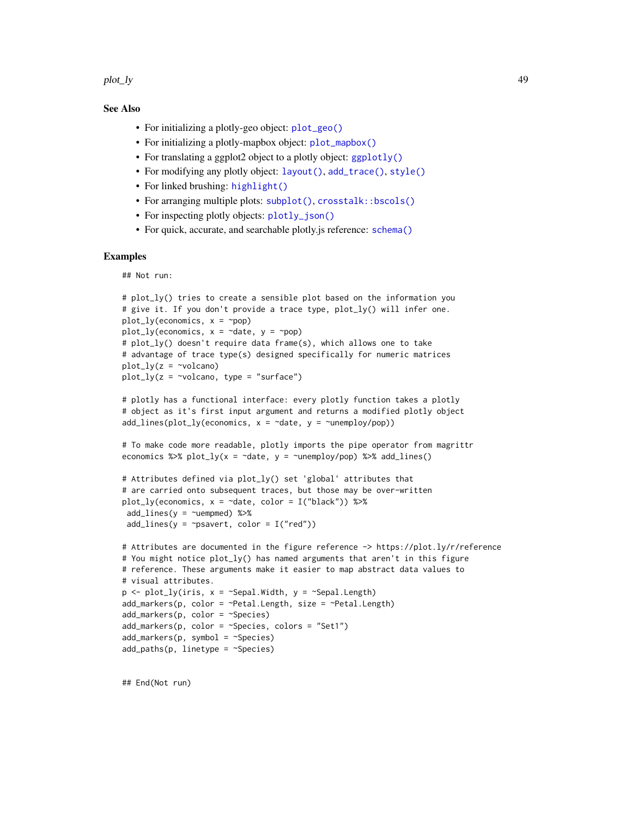<span id="page-48-0"></span>plot\_ly the contract of the contract of the contract of the contract of the contract of the contract of the contract of the contract of the contract of the contract of the contract of the contract of the contract of the co

#### See Also

- For initializing a plotly-geo object: [plot\\_geo\(\)](#page-45-1)
- For initializing a plotly-mapbox object: [plot\\_mapbox\(\)](#page-49-1)
- For translating a ggplot2 object to a plotly object: [ggplotly\(\)](#page-22-1)
- For modifying any plotly object: [layout\(\)](#page-31-1), [add\\_trace\(\)](#page-4-2), [style\(\)](#page-57-1)
- For linked brushing: [highlight\(\)](#page-26-2)
- For arranging multiple plots: [subplot\(\)](#page-58-1), [crosstalk::bscols\(\)](#page-0-0)
- For inspecting plotly objects: [plotly\\_json\(\)](#page-42-1)
- For quick, accurate, and searchable plotly is reference: [schema\(\)](#page-55-1)

#### Examples

## Not run:

```
# plot_ly() tries to create a sensible plot based on the information you
# give it. If you don't provide a trace type, plot_ly() will infer one.
plot_{ly}(economics, x = \text{pop})plot_{ly}(economics, x = \neg date, y = \neg pop)# plot_ly() doesn't require data frame(s), which allows one to take
# advantage of trace type(s) designed specifically for numeric matrices
plot_{1y}(z = \simvolcano)
plot_{1}y(z = \simvolcano, type = "surface")
```

```
# plotly has a functional interface: every plotly function takes a plotly
# object as it's first input argument and returns a modified plotly object
add\_lines(plot\_ly(economics, x = \neg date, y = \neg unemploy/pop))
```

```
# To make code more readable, plotly imports the pipe operator from magrittr
economics %\gg plot_ly(x = ~date, y = ~unemploy/pop) %\gg add_lines()
```

```
# Attributes defined via plot_ly() set 'global' attributes that
# are carried onto subsequent traces, but those may be over-written
plot_ly(economics, x = \text{`date}, \text{color} = I("black")) %>%
add\_lines(y = \simuempmed) %>%
add\_lines(y = \gammapsavert, color = I("red"))
```

```
# Attributes are documented in the figure reference -> https://plot.ly/r/reference
# You might notice plot_ly() has named arguments that aren't in this figure
# reference. These arguments make it easier to map abstract data values to
# visual attributes.
p \le - \text{plot\_ly}(iris, x = \text{``Sepal.width}, y = \text{``Sepal.Length})add_markers(p, color = ~Petal.Length, size = ~Petal.Length)
add\_markers(p, color = \neg Species)add_markers(p, color = ~Species, colors = "Set1")
add\_marks(p, symbol = ~<i>Species</i>)add\_paths(p, linetype = \neg Species)
```
## End(Not run)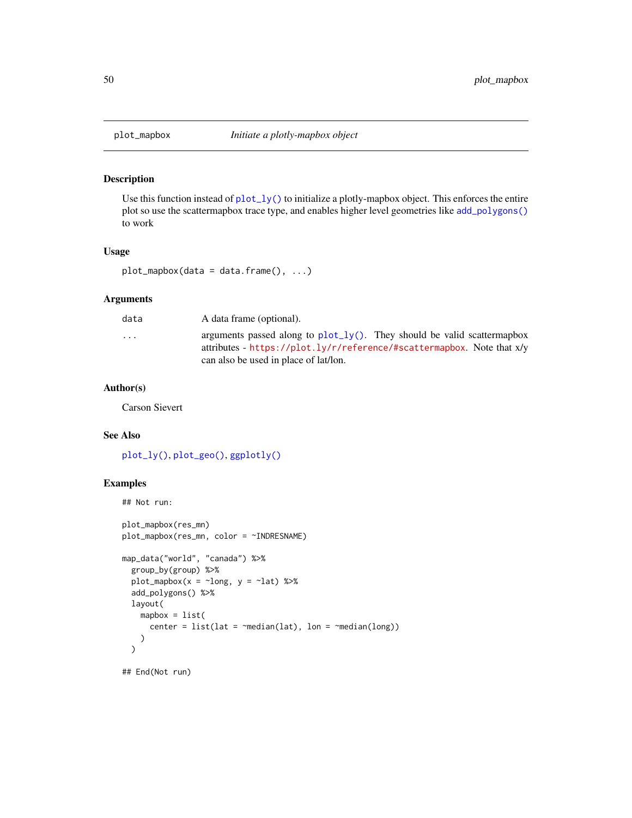<span id="page-49-1"></span><span id="page-49-0"></span>

Use this function instead of  $plot\_ly()$  to initialize a plotly-mapbox object. This enforces the entire plot so use the scattermapbox trace type, and enables higher level geometries like [add\\_polygons\(\)](#page-4-1) to work

#### Usage

plot\_mapbox(data = data.frame(), ...)

#### Arguments

| data      | A data frame (optional).                                                                                                                                                                          |
|-----------|---------------------------------------------------------------------------------------------------------------------------------------------------------------------------------------------------|
| $\ddotsc$ | arguments passed along to $plot_{1}y()$ . They should be valid scattermapbox<br>attributes - https://plot.ly/r/reference/#scattermapbox. Note that $x/y$<br>can also be used in place of lat/lon. |
|           |                                                                                                                                                                                                   |

#### Author(s)

Carson Sievert

#### See Also

[plot\\_ly\(\)](#page-46-1), [plot\\_geo\(\)](#page-45-1), [ggplotly\(\)](#page-22-1)

#### Examples

```
## Not run:
```

```
plot_mapbox(res_mn)
plot_mapbox(res_mn, color = ~INDRESNAME)
map_data("world", "canada") %>%
  group_by(group) %>%
  plot_mapbox(x = \simlong, y = \simlat) %>%
  add_polygons() %>%
  layout(
    mapbox = list(center = list(lat = \text{~median}(lat), \text{ }lon = \text{~median}(long)))
  \mathcal{L}
```
## End(Not run)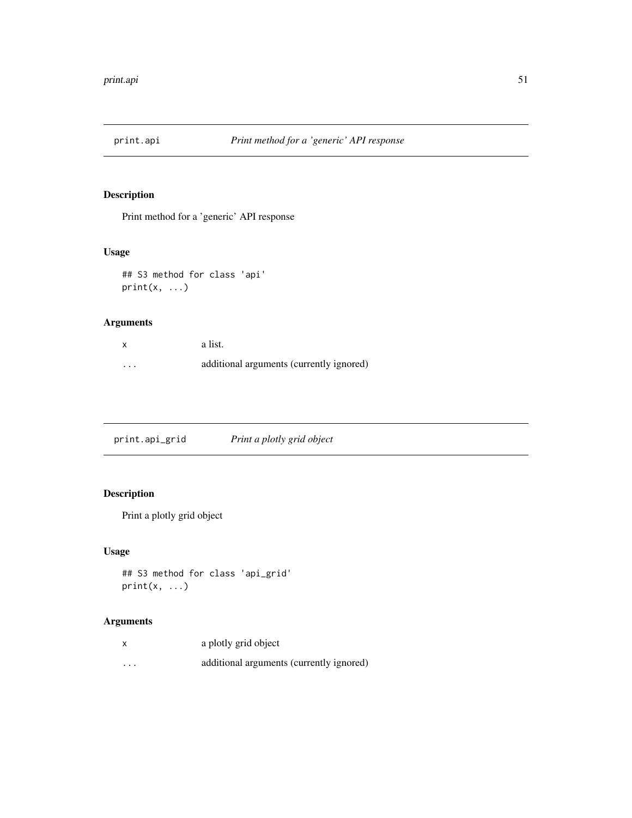<span id="page-50-0"></span>

Print method for a 'generic' API response

### Usage

```
## S3 method for class 'api'
print(x, \ldots)
```
### Arguments

|         | a list.                                  |
|---------|------------------------------------------|
| $\cdot$ | additional arguments (currently ignored) |

print.api\_grid *Print a plotly grid object*

### Description

Print a plotly grid object

### Usage

```
## S3 method for class 'api_grid'
print(x, \ldots)
```

| X | a plotly grid object                     |
|---|------------------------------------------|
| . | additional arguments (currently ignored) |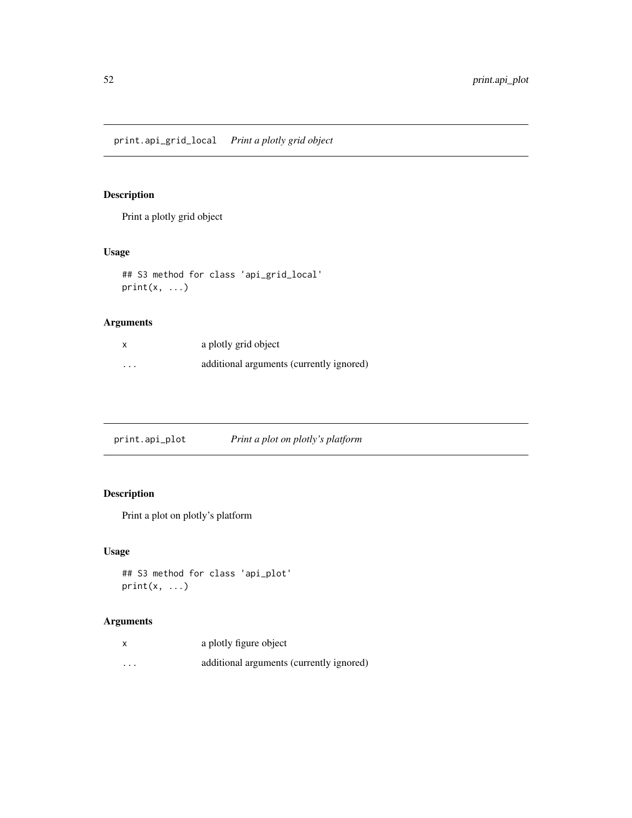<span id="page-51-0"></span>Print a plotly grid object

### Usage

```
## S3 method for class 'api_grid_local'
print(x, \ldots)
```
### Arguments

|          | a plotly grid object                     |
|----------|------------------------------------------|
| $\cdots$ | additional arguments (currently ignored) |

| Print a plot on plotly's platform<br>print.api_plot |
|-----------------------------------------------------|
|-----------------------------------------------------|

### Description

Print a plot on plotly's platform

### Usage

```
## S3 method for class 'api_plot'
print(x, \ldots)
```

| X        | a plotly figure object                   |
|----------|------------------------------------------|
| $\cdots$ | additional arguments (currently ignored) |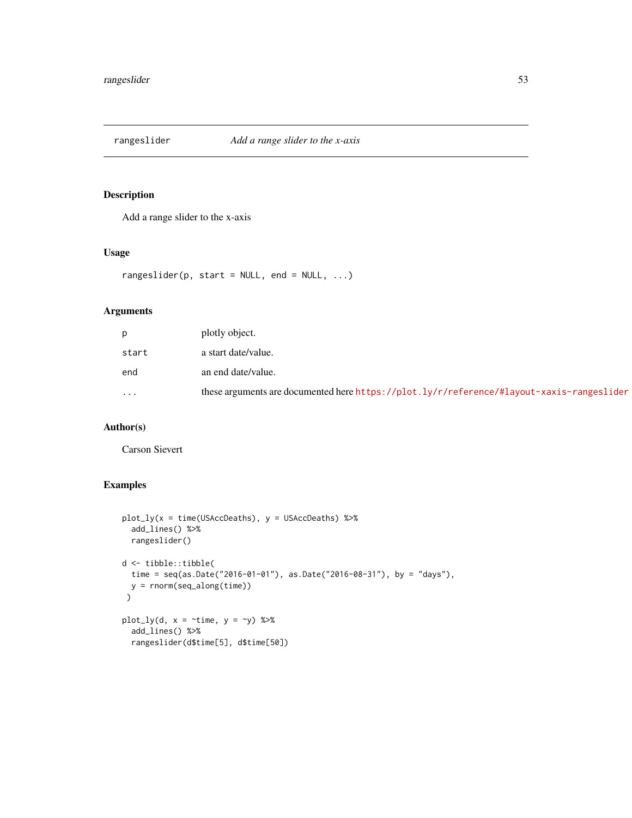<span id="page-52-0"></span>

Add a range slider to the x-axis

#### Usage

rangeslider(p, start =  $NULL$ , end =  $NULL$ , ...)

### Arguments

| p                       | plotly object.                                                                            |
|-------------------------|-------------------------------------------------------------------------------------------|
| start                   | a start date/value.                                                                       |
| end                     | an end date/value.                                                                        |
| $\cdot$ $\cdot$ $\cdot$ | these arguments are documented here https://plot.ly/r/reference/#layout-xaxis-rangeslider |

### Author(s)

Carson Sievert

```
plot_{1}y(x = time(USAccDeaths), y = USAccDeaths) %>%
  add_lines() %>%
 rangeslider()
d <- tibble::tibble(
  time = seq(as.Date("2016-01-01"), as.Date("2016-08-31"), by = "days"),
 y = rnorm(seq_along(time))
 )
plot_{1}y(d, x = \text{time}, y = \text{y}) %>%
  add_lines() %>%
  rangeslider(d$time[5], d$time[50])
```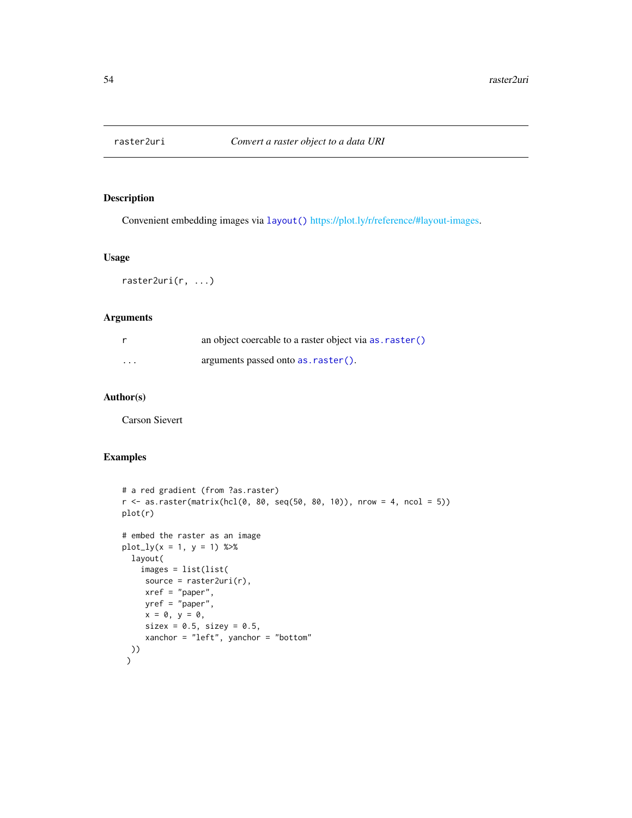<span id="page-53-0"></span>

Convenient embedding images via [layout\(\)](#page-31-1) [https://plot.ly/r/reference/#layout-images.](#page-0-0)

#### Usage

raster2uri(r, ...)

### Arguments

|                         | an object coercable to a raster object via as . raster () |
|-------------------------|-----------------------------------------------------------|
| $\cdot$ $\cdot$ $\cdot$ | arguments passed onto as . raster().                      |

### Author(s)

Carson Sievert

```
# a red gradient (from ?as.raster)
r <- as.raster(matrix(hcl(0, 80, seq(50, 80, 10)), nrow = 4, ncol = 5))
plot(r)
# embed the raster as an image
plot_{1}y(x = 1, y = 1) %>%
  layout(
    images = list(list(
    source = raster2uri(r),
    xref = "paper",
    yref = "paper",
     x = 0, y = 0,sizex = 0.5, sizey = 0.5,
     xanchor = "left", yanchor = "bottom"
 ))
 \mathcal{L}
```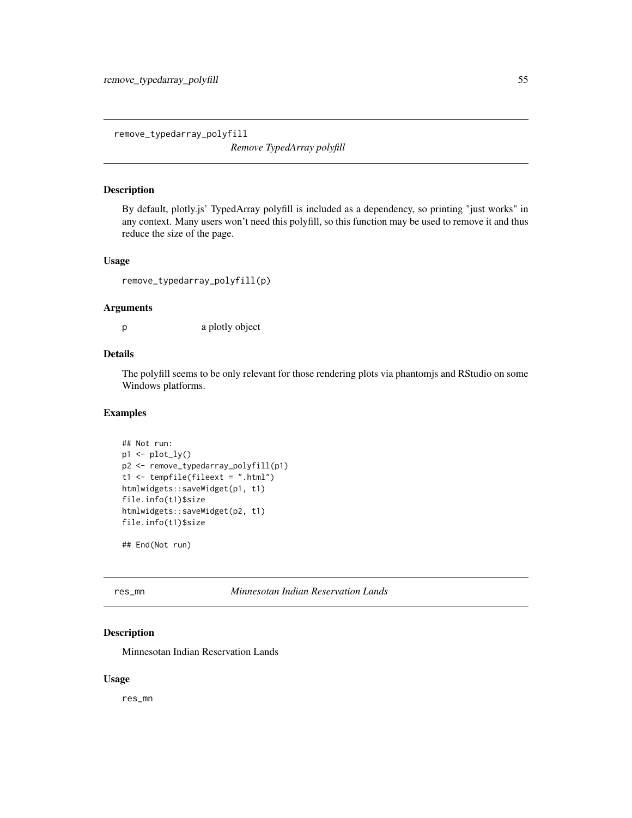<span id="page-54-0"></span>remove\_typedarray\_polyfill

*Remove TypedArray polyfill*

#### Description

By default, plotly.js' TypedArray polyfill is included as a dependency, so printing "just works" in any context. Many users won't need this polyfill, so this function may be used to remove it and thus reduce the size of the page.

#### Usage

remove\_typedarray\_polyfill(p)

#### Arguments

p a plotly object

#### Details

The polyfill seems to be only relevant for those rendering plots via phantomjs and RStudio on some Windows platforms.

#### Examples

```
## Not run:
p1 <- plot_ly()
p2 <- remove_typedarray_polyfill(p1)
t1 <- tempfile(fileext = ".html")
htmlwidgets::saveWidget(p1, t1)
file.info(t1)$size
htmlwidgets::saveWidget(p2, t1)
file.info(t1)$size
```
## End(Not run)

res\_mn *Minnesotan Indian Reservation Lands*

#### Description

Minnesotan Indian Reservation Lands

#### Usage

res\_mn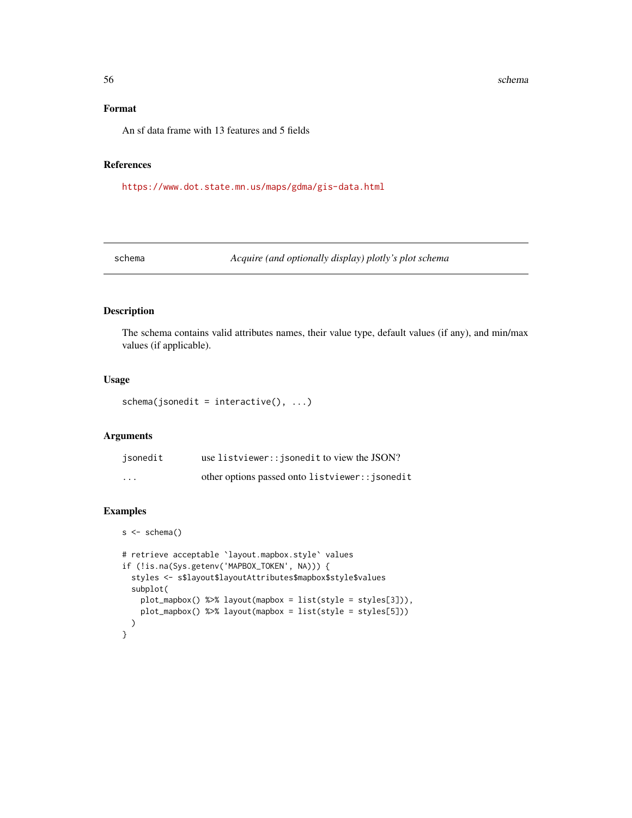#### 56 schema and the set of the set of the set of the set of the set of the set of the set of the set of the set of the set of the set of the set of the set of the set of the set of the set of the set of the set of the set of

### Format

An sf data frame with 13 features and 5 fields

### References

<https://www.dot.state.mn.us/maps/gdma/gis-data.html>

<span id="page-55-1"></span>schema *Acquire (and optionally display) plotly's plot schema*

#### Description

The schema contains valid attributes names, their value type, default values (if any), and min/max values (if applicable).

#### Usage

```
schema(jsonedit = interactive(), ...)
```
#### Arguments

| jsonedit | use listviewer:: jsonedit to view the JSON?     |
|----------|-------------------------------------------------|
| $\cdot$  | other options passed onto listviewer:: jsonedit |

```
s < - schema()
# retrieve acceptable `layout.mapbox.style` values
```

```
if (!is.na(Sys.getenv('MAPBOX_TOKEN', NA))) {
 styles <- s$layout$layoutAttributes$mapbox$style$values
 subplot(
   plot_mapbox() %>% layout(mapbox = list(style = styles[3])),
   plot_mapbox() %>% layout(mapbox = list(style = styles[5]))
 )
}
```
<span id="page-55-0"></span>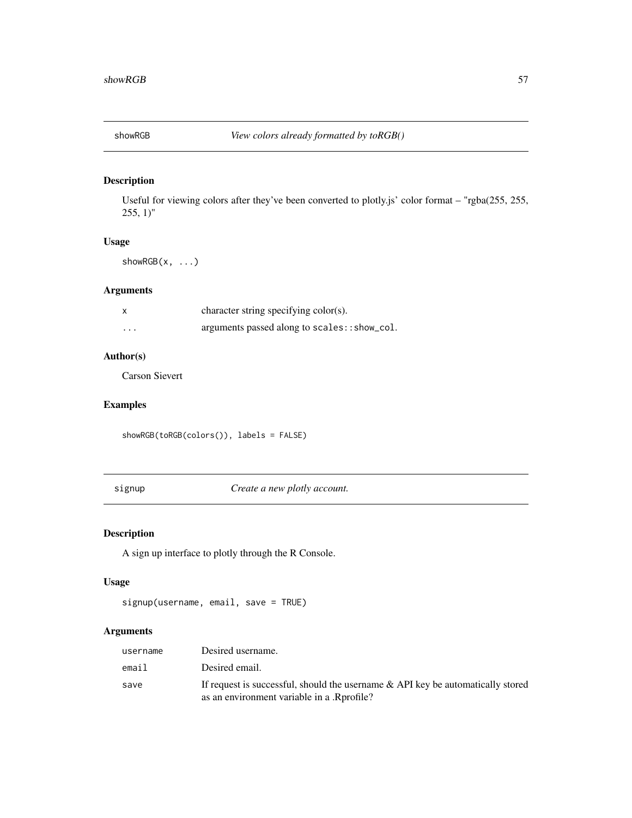<span id="page-56-2"></span><span id="page-56-0"></span>

Useful for viewing colors after they've been converted to plotly.js' color format – "rgba(255, 255,  $255, 1$ "

#### Usage

showRGB(x, ...)

### Arguments

| x        | character string specifying color(s).        |
|----------|----------------------------------------------|
| $\cdots$ | arguments passed along to scales:: show_col. |

#### Author(s)

Carson Sievert

### Examples

showRGB(toRGB(colors()), labels = FALSE)

<span id="page-56-1"></span>signup *Create a new plotly account.*

### Description

A sign up interface to plotly through the R Console.

#### Usage

```
signup(username, email, save = TRUE)
```

| username | Desired username.                                                                                                                |
|----------|----------------------------------------------------------------------------------------------------------------------------------|
| email    | Desired email.                                                                                                                   |
| save     | If request is successful, should the username $\&$ API key be automatically stored<br>as an environment variable in a .Rprofile? |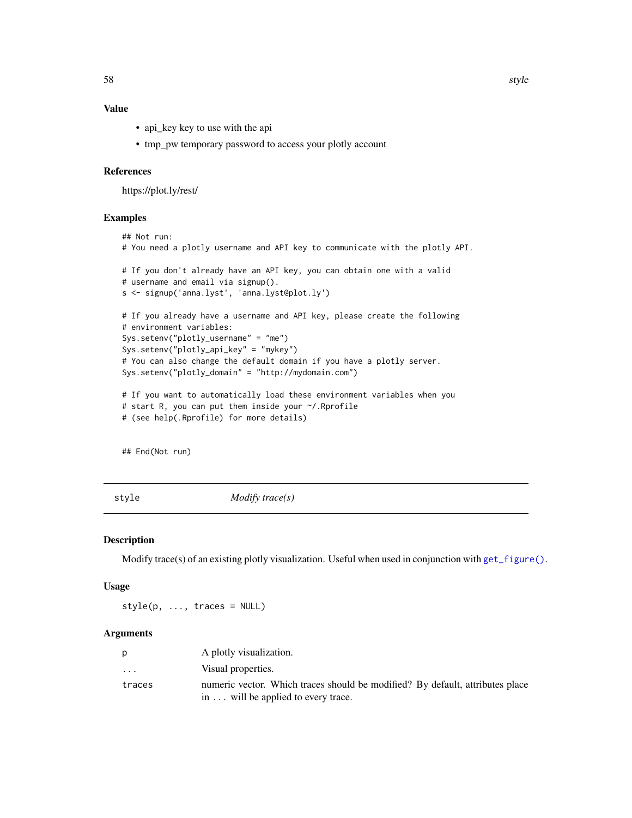### <span id="page-57-0"></span>Value

- api\_key key to use with the api
- tmp\_pw temporary password to access your plotly account

#### References

https://plot.ly/rest/

#### Examples

```
## Not run:
# You need a plotly username and API key to communicate with the plotly API.
# If you don't already have an API key, you can obtain one with a valid
# username and email via signup().
s <- signup('anna.lyst', 'anna.lyst@plot.ly')
# If you already have a username and API key, please create the following
# environment variables:
Sys.setenv("plotly_username" = "me")
Sys.setenv("plotly_api_key" = "mykey")
# You can also change the default domain if you have a plotly server.
Sys.setenv("plotly_domain" = "http://mydomain.com")
# If you want to automatically load these environment variables when you
# start R, you can put them inside your ~/.Rprofile
# (see help(.Rprofile) for more details)
```
## End(Not run)

<span id="page-57-1"></span>

style *Modify trace(s)*

#### Description

Modify trace(s) of an existing plotly visualization. Useful when used in conjunction with [get\\_figure\(\)](#page-21-1).

#### Usage

 $style(p, ..., traces = NULL)$ 

|                         | A plotly visualization.                                                       |
|-------------------------|-------------------------------------------------------------------------------|
| $\cdot$ $\cdot$ $\cdot$ | Visual properties.                                                            |
| traces                  | numeric vector. Which traces should be modified? By default, attributes place |
|                         | in will be applied to every trace.                                            |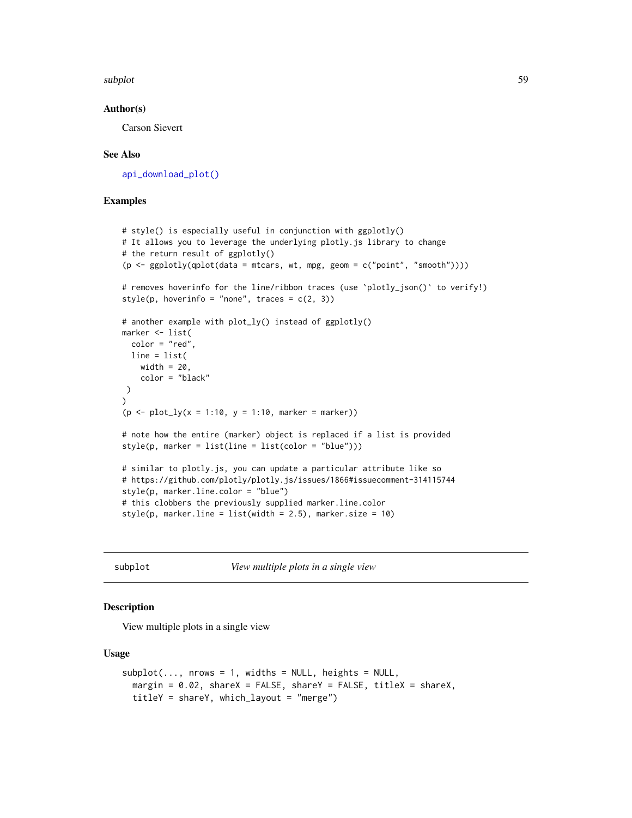<span id="page-58-0"></span>subplot that the subset of the set of the set of the set of the set of the set of the set of the set of the set of the set of the set of the set of the set of the set of the set of the set of the set of the set of the set

#### Author(s)

Carson Sievert

#### See Also

[api\\_download\\_plot\(\)](#page-10-1)

#### Examples

```
# style() is especially useful in conjunction with ggplotly()
# It allows you to leverage the underlying plotly.js library to change
# the return result of ggplotly()
(p <- ggplotly(qplot(data = mtcars, wt, mpg, geom = c("point", "smooth"))))
# removes hoverinfo for the line/ribbon traces (use `plotly_json()` to verify!)
style(p, hoverinfo = "none", traces = c(2, 3))
# another example with plot_ly() instead of ggplotly()
marker <- list(
  color = "red",
 line = list(
   width = 20,
    color = "black"
)
\lambda(p \leq plot_{1y}(x = 1:10, y = 1:10, marker = marker))# note how the entire (marker) object is replaced if a list is provided
style(p, marker = list(line = list(color = "blue")))
# similar to plotly.js, you can update a particular attribute like so
# https://github.com/plotly/plotly.js/issues/1866#issuecomment-314115744
style(p, marker.line.color = "blue")
# this clobbers the previously supplied marker.line.color
style(p, marker.line = list(width = 2.5), marker.size = 10)
```
<span id="page-58-1"></span>

subplot *View multiple plots in a single view*

#### Description

View multiple plots in a single view

#### Usage

```
subplot(..., nrows = 1, widths = NULL, heights = NULL,margin = 0.02, shareX = FALSE, shareY = FALSE, titleX = shareX,
  titleY = shareY, which_layout = "merge")
```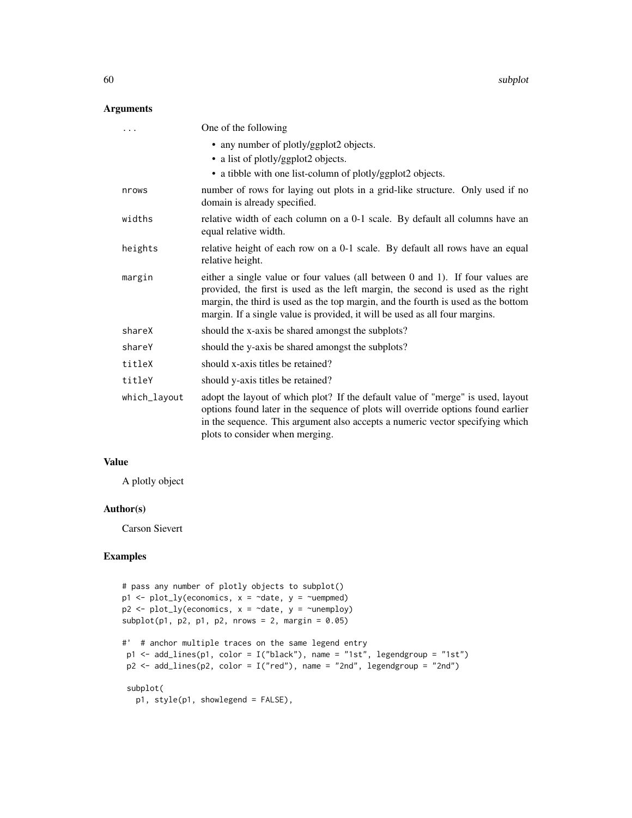#### Arguments

|              | One of the following                                                                                                                                                                                                                                                                                                                  |
|--------------|---------------------------------------------------------------------------------------------------------------------------------------------------------------------------------------------------------------------------------------------------------------------------------------------------------------------------------------|
|              | • any number of plotly/ggplot2 objects.                                                                                                                                                                                                                                                                                               |
|              | • a list of plotly/ggplot2 objects.                                                                                                                                                                                                                                                                                                   |
|              | • a tibble with one list-column of plotly/ggplot2 objects.                                                                                                                                                                                                                                                                            |
| nrows        | number of rows for laying out plots in a grid-like structure. Only used if no<br>domain is already specified.                                                                                                                                                                                                                         |
| widths       | relative width of each column on a 0-1 scale. By default all columns have an<br>equal relative width.                                                                                                                                                                                                                                 |
| heights      | relative height of each row on a 0-1 scale. By default all rows have an equal<br>relative height.                                                                                                                                                                                                                                     |
| margin       | either a single value or four values (all between 0 and 1). If four values are<br>provided, the first is used as the left margin, the second is used as the right<br>margin, the third is used as the top margin, and the fourth is used as the bottom<br>margin. If a single value is provided, it will be used as all four margins. |
| shareX       | should the x-axis be shared amongst the subplots?                                                                                                                                                                                                                                                                                     |
| shareY       | should the y-axis be shared amongst the subplots?                                                                                                                                                                                                                                                                                     |
| titleX       | should x-axis titles be retained?                                                                                                                                                                                                                                                                                                     |
| titleY       | should y-axis titles be retained?                                                                                                                                                                                                                                                                                                     |
| which_layout | adopt the layout of which plot? If the default value of "merge" is used, layout<br>options found later in the sequence of plots will override options found earlier<br>in the sequence. This argument also accepts a numeric vector specifying which<br>plots to consider when merging.                                               |

#### Value

A plotly object

#### Author(s)

Carson Sievert

```
# pass any number of plotly objects to subplot()
p1 \leq p1 p1 \leq p1 (economics, x = \text{`date}, y = \text{`uempmed})p2 \leq plot_{ly}(economics, x = \neg date, y = \neg unemploy)subplot(p1, p2, p1, p2, nrows = 2, margin = 0.05)#' # anchor multiple traces on the same legend entry
 p1 <- add_lines(p1, color = I("black"), name = "1st", legendgroup = "1st")
 p2 \leq - add_lines(p2, color = I("red"), name = "2nd", legendgroup = "2nd")
 subplot(
   p1, style(p1, showlegend = FALSE),
```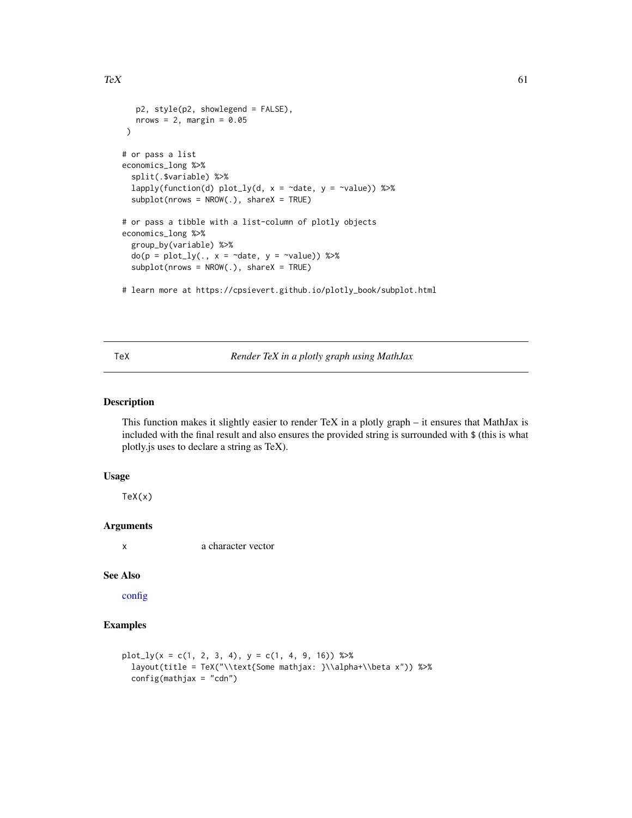```
p2, style(p2, showlegend = FALSE),
  nrows = 2, margin = 0.05)
# or pass a list
economics_long %>%
 split(.$variable) %>%
 lapply(function(d) plot_ly(d, x = ~date, y = ~value)) %>%
 subplot(nrows = NROW(.), shareX = TRUE)# or pass a tibble with a list-column of plotly objects
economics_long %>%
 group_by(variable) %>%
 do(p = plot_ly(., x = ~date, y = ~value)) %>%
 subplot(nrows = NROW(.), shareX = TRUE)# learn more at https://cpsievert.github.io/plotly_book/subplot.html
```
<span id="page-60-1"></span>

#### TeX *Render TeX in a plotly graph using MathJax*

#### Description

This function makes it slightly easier to render TeX in a plotly graph  $-$  it ensures that MathJax is included with the final result and also ensures the provided string is surrounded with \$ (this is what plotly.js uses to declare a string as TeX).

#### Usage

 $Text(x)$ 

#### Arguments

x a character vector

#### See Also

[config](#page-15-1)

### Examples

```
plot_{1}y(x = c(1, 2, 3, 4), y = c(1, 4, 9, 16)) %>%
 layout(title = TeX("\\text{Some mathjax: }\\alpha+\\beta x")) %>%
 config(mathjax = "cdn")
```
<span id="page-60-0"></span> $T_{\rm e}$  61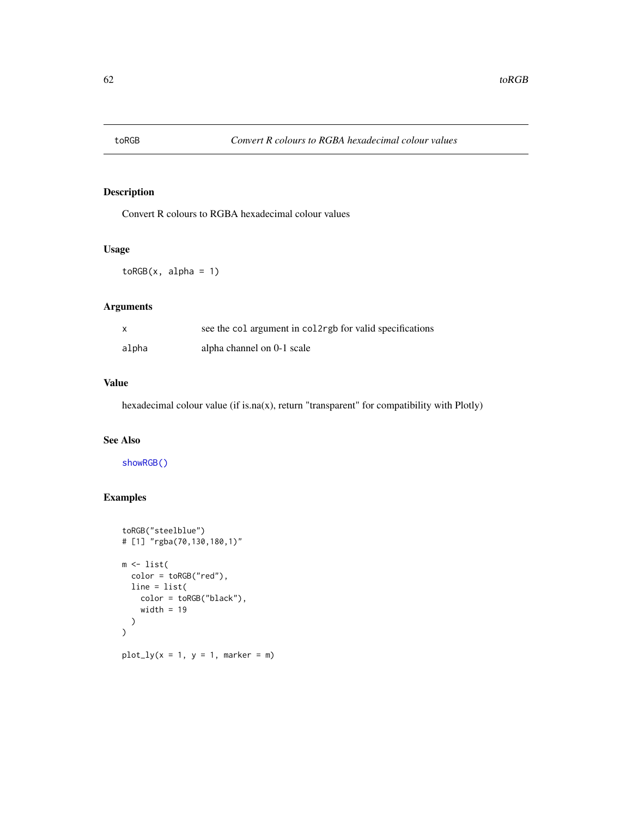<span id="page-61-1"></span><span id="page-61-0"></span>

Convert R colours to RGBA hexadecimal colour values

### Usage

 $toRGB(x, alpha = 1)$ 

### Arguments

|       | see the col argument in col2rgb for valid specifications |
|-------|----------------------------------------------------------|
| alpha | alpha channel on 0-1 scale                               |

### Value

hexadecimal colour value (if is.na(x), return "transparent" for compatibility with Plotly)

### See Also

[showRGB\(\)](#page-56-2)

```
toRGB("steelblue")
# [1] "rgba(70,130,180,1)"
m \leftarrow list(color = toRGB("red"),
  line = list(
    color = toRGB("black"),
    width = 19)
\overline{)}plot_{ly}(x = 1, y = 1, marker = m)
```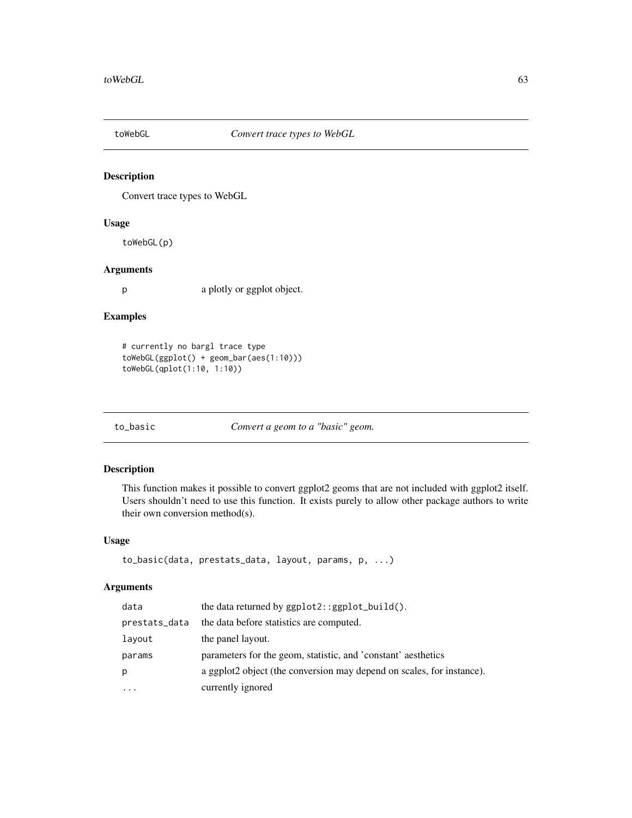<span id="page-62-0"></span>

Convert trace types to WebGL

### Usage

toWebGL(p)

### Arguments

p a plotly or ggplot object.

#### Examples

```
# currently no bargl trace type
toWebGL(ggplot() + geom_bar(aes(1:10)))
toWebGL(qplot(1:10, 1:10))
```
to\_basic *Convert a geom to a "basic" geom.*

### Description

This function makes it possible to convert ggplot2 geoms that are not included with ggplot2 itself. Users shouldn't need to use this function. It exists purely to allow other package authors to write their own conversion method(s).

#### Usage

```
to_basic(data, prestats_data, layout, params, p, ...)
```

| data          | the data returned by $ggplot2::ggplot_buid()$ .                       |
|---------------|-----------------------------------------------------------------------|
| prestats_data | the data before statistics are computed.                              |
| layout        | the panel layout.                                                     |
| params        | parameters for the geom, statistic, and 'constant' aesthetics         |
| р             | a ggplot2 object (the conversion may depend on scales, for instance). |
| $\ddotsc$     | currently ignored                                                     |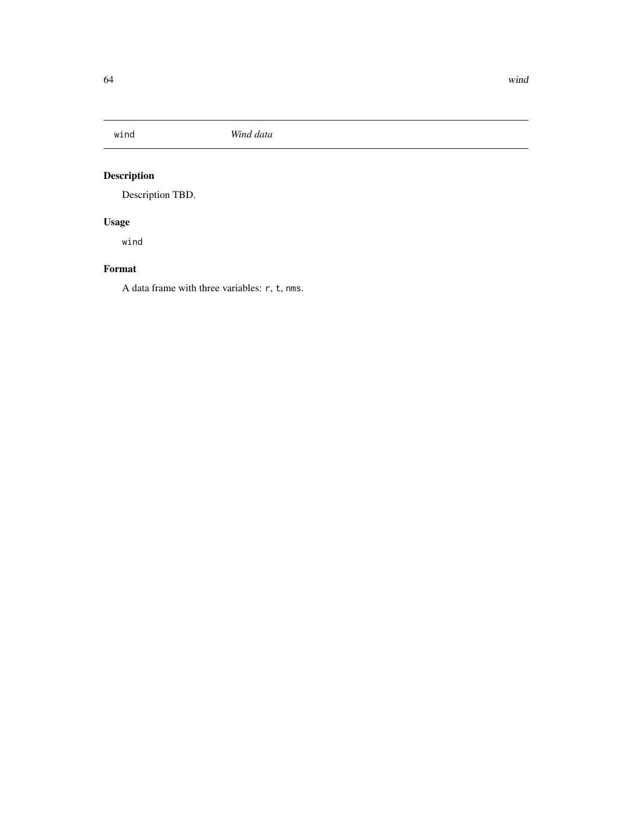<span id="page-63-0"></span>

Description TBD.

### Usage

wind

### Format

A data frame with three variables: r, t, nms.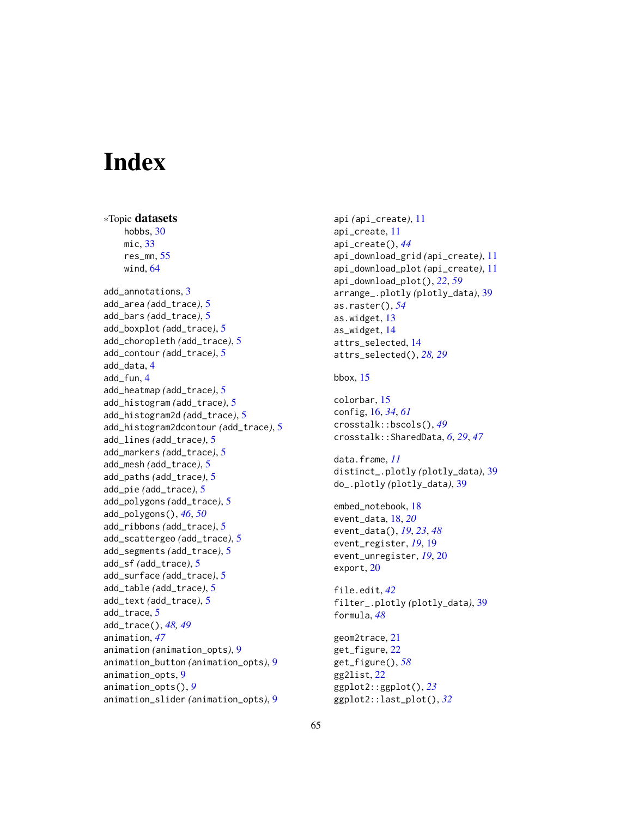# <span id="page-64-0"></span>**Index**

∗Topic datasets hobbs, [30](#page-29-0) mic, [33](#page-32-0) res\_mn, [55](#page-54-0) wind, [64](#page-63-0) add\_annotations, [3](#page-2-0) add\_area *(*add\_trace*)*, [5](#page-4-0) add\_bars *(*add\_trace*)*, [5](#page-4-0) add\_boxplot *(*add\_trace*)*, [5](#page-4-0) add\_choropleth *(*add\_trace*)*, [5](#page-4-0) add\_contour *(*add\_trace*)*, [5](#page-4-0) add\_data, [4](#page-3-0) add\_fun, [4](#page-3-0) add\_heatmap *(*add\_trace*)*, [5](#page-4-0) add\_histogram *(*add\_trace*)*, [5](#page-4-0) add\_histogram2d *(*add\_trace*)*, [5](#page-4-0) add\_histogram2dcontour *(*add\_trace*)*, [5](#page-4-0) add\_lines *(*add\_trace*)*, [5](#page-4-0) add\_markers *(*add\_trace*)*, [5](#page-4-0) add\_mesh *(*add\_trace*)*, [5](#page-4-0) add\_paths *(*add\_trace*)*, [5](#page-4-0) add\_pie *(*add\_trace*)*, [5](#page-4-0) add\_polygons *(*add\_trace*)*, [5](#page-4-0) add\_polygons(), *[46](#page-45-0)*, *[50](#page-49-0)* add\_ribbons *(*add\_trace*)*, [5](#page-4-0) add\_scattergeo *(*add\_trace*)*, [5](#page-4-0) add\_segments *(*add\_trace*)*, [5](#page-4-0) add\_sf *(*add\_trace*)*, [5](#page-4-0) add\_surface *(*add\_trace*)*, [5](#page-4-0) add\_table *(*add\_trace*)*, [5](#page-4-0) add\_text *(*add\_trace*)*, [5](#page-4-0) add\_trace, [5](#page-4-0) add\_trace(), *[48,](#page-47-0) [49](#page-48-0)* animation, *[47](#page-46-0)* animation *(*animation\_opts*)*, [9](#page-8-0) animation\_button *(*animation\_opts*)*, [9](#page-8-0) animation\_opts, [9](#page-8-0) animation\_opts(), *[9](#page-8-0)* animation\_slider *(*animation\_opts*)*, [9](#page-8-0)

api *(*api\_create*)*, [11](#page-10-0) api\_create, [11](#page-10-0) api\_create(), *[44](#page-43-0)* api\_download\_grid *(*api\_create*)*, [11](#page-10-0) api\_download\_plot *(*api\_create*)*, [11](#page-10-0) api\_download\_plot(), *[22](#page-21-0)*, *[59](#page-58-0)* arrange\_.plotly *(*plotly\_data*)*, [39](#page-38-0) as.raster(), *[54](#page-53-0)* as.widget, [13](#page-12-0) as\_widget, [14](#page-13-0) attrs\_selected, [14](#page-13-0) attrs\_selected(), *[28,](#page-27-0) [29](#page-28-0)* bbox, [15](#page-14-0) colorbar, [15](#page-14-0)

config, [16,](#page-15-0) *[34](#page-33-0)*, *[61](#page-60-0)* crosstalk::bscols(), *[49](#page-48-0)* crosstalk::SharedData, *[6](#page-5-0)*, *[29](#page-28-0)*, *[47](#page-46-0)*

data.frame, *[11](#page-10-0)* distinct\_.plotly *(*plotly\_data*)*, [39](#page-38-0) do\_.plotly *(*plotly\_data*)*, [39](#page-38-0)

embed\_notebook, [18](#page-17-0) event\_data, [18,](#page-17-0) *[20](#page-19-0)* event\_data(), *[19](#page-18-0)*, *[23](#page-22-0)*, *[48](#page-47-0)* event\_register, *[19](#page-18-0)*, [19](#page-18-0) event\_unregister, *[19](#page-18-0)*, [20](#page-19-0) export, [20](#page-19-0)

file.edit, *[42](#page-41-0)* filter\_.plotly *(*plotly\_data*)*, [39](#page-38-0) formula, *[48](#page-47-0)*

```
geom2trace, 21
get_figure, 22
get_figure(), 58
gg2list, 22
ggplot2::ggplot(), 23
ggplot2::last_plot(), 32
```